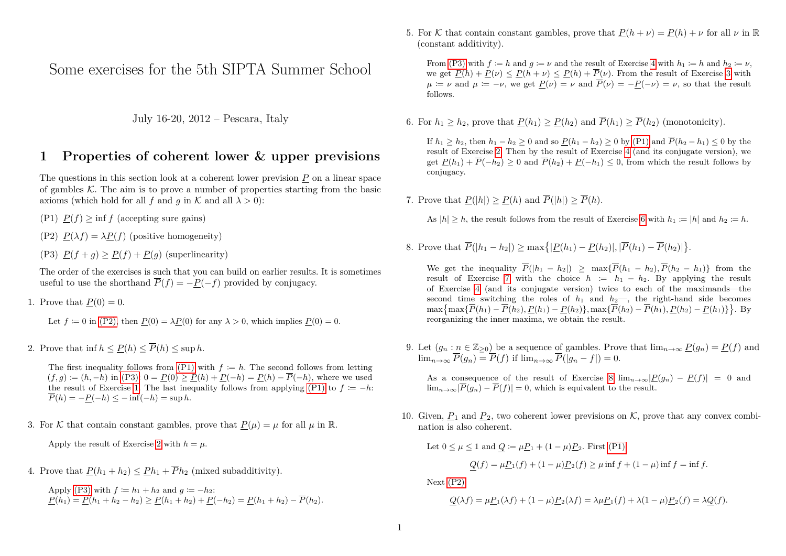Some exercises for the 5th SIPTA Summer School

July 16-20, 2012 – Pescara, Italy

#### **1 Properties of coherent lower & upper previsions**

The questions in this section look at a coherent lower prevision  $P$  on a linear space of gambles  $K$ . The aim is to prove a number of properties starting from the basic axioms (which hold for all *f* and *q* in  $K$  and all  $\lambda > 0$ ):

- <span id="page-0-1"></span>(P1)  $P(f) > \inf f$  (accepting sure gains)
- <span id="page-0-0"></span>(P2)  $P(\lambda f) = \lambda P(f)$  (positive homogeneity)
- <span id="page-0-2"></span>(P3)  $P(f+q) \ge P(f) + P(q)$  (superlinearity)

The order of the exercises is such that you can build on earlier results. It is sometimes useful to use the shorthand  $\overline{P}(f) = -P(-f)$  provided by conjugacy.

<span id="page-0-3"></span>1. Prove that  $P(0) = 0$ .

Let 
$$
f \coloneqq 0
$$
 in (P2), then  $\underline{P}(0) = \lambda \underline{P}(0)$  for any  $\lambda > 0$ , which implies  $\underline{P}(0) = 0$ .

<span id="page-0-4"></span>2. Prove that inf  $h \leq P(h) \leq \overline{P}(h) \leq \sup h$ .

The first inequality follows from  $(P1)$  with  $f := h$ . The second follows from letting  $(f, g) := (h, -h)$  in [\(P3\):](#page-0-2) 0 =  $P(0) \ge P(h) + P(-h) = P(h) - \overline{P}(-h)$ , where we used the result of Exercise [1.](#page-0-3) The last inequality follows from applying [\(P1\)](#page-0-1) to  $f := -h$ :  $\overline{P}(h) = -P(-h) \le -\inf(-h) = \sup h$ .

<span id="page-0-6"></span>3. For K that contain constant gambles, prove that  $P(u) = u$  for all *u* in R.

Apply the result of Exercise [2](#page-0-4) with  $h = \mu$ .

<span id="page-0-5"></span>4. Prove that  $P(h_1 + h_2) \leq Ph_1 + \overline{P}h_2$  (mixed subadditivity).

Apply [\(P3\)](#page-0-2) with  $f := h_1 + h_2$  and  $q := -h_2$ :  $P(h_1) = P(h_1 + h_2 - h_2) \geq P(h_1 + h_2) + P(-h_2) = P(h_1 + h_2) - P(h_2).$  <span id="page-0-10"></span>5. For K that contain constant gambles, prove that  $P(h + \nu) = P(h) + \nu$  for all  $\nu$  in R (constant additivity).

From [\(P3\)](#page-0-2) with  $f := h$  and  $q := \nu$  and the result of Exercise [4](#page-0-5) with  $h_1 := h$  and  $h_2 := \nu$ , we get  $P(h) + P(\nu) \le P(h + \nu) \le P(h) + \overline{P}(\nu)$ . From the result of Exercise [3](#page-0-6) with  $\mu = \nu$  and  $\mu = -\nu$ , we get  $P(\nu) = \nu$  and  $\overline{P}(\nu) = -P(-\nu) = \nu$ , so that the result follows.

<span id="page-0-7"></span>6. For  $h_1 > h_2$ , prove that  $P(h_1) > P(h_2)$  and  $\overline{P}(h_1) > \overline{P}(h_2)$  (monotonicity).

If  $h_1 > h_2$ , then  $h_1 - h_2 > 0$  and so  $P(h_1 - h_2) > 0$  by [\(P1\)](#page-0-1) and  $\overline{P}(h_2 - h_1) \le 0$  by the result of Exercise [2.](#page-0-4) Then by the result of Exercise [4](#page-0-5) (and its conjugate version), we get  $P(h_1) + \overline{P}(-h_2) \geq 0$  and  $\overline{P}(h_2) + P(-h_1) \leq 0$ , from which the result follows by conjugacy.

<span id="page-0-8"></span>7. Prove that  $P(|h|) > P(h)$  and  $\overline{P}(|h|) > \overline{P}(h)$ .

As  $|h| \geq h$ , the result follows from the result of Exercise [6](#page-0-7) with  $h_1 := |h|$  and  $h_2 := h$ .

<span id="page-0-9"></span>8. Prove that  $\overline{P}(|h_1 - h_2|) \ge \max\{|P(h_1) - P(h_2)|, |\overline{P}(h_1) - \overline{P}(h_2)|\}.$ 

We get the inequality  $\overline{P}(|h_1 - h_2|) \ge \max{\{\overline{P}(h_1 - h_2), \overline{P}(h_2 - h_1)\}}$  from the result of Exercise [7](#page-0-8) with the choice  $h := h_1 - h_2$ . By applying the result of Exercise [4](#page-0-5) (and its conjugate version) twice to each of the maximands—the second time switching the roles of  $h_1$  and  $h_2$ —, the right-hand side becomes  $\max{\{ \overline{P}(h_1) - \overline{P}(h_2), \underline{P}(h_1) - \underline{P}(h_2) \}, \max{\{ \overline{P}(h_2) - \overline{P}(h_1), \underline{P}(h_2) - \underline{P}(h_1) \}}\}.$  By reorganizing the inner maxima, we obtain the result.

9. Let  $(g_n : n \in \mathbb{Z}_{\geq 0})$  be a sequence of gambles. Prove that  $\lim_{n\to\infty} P(g_n) = P(f)$  and  $\lim_{n\to\infty} P(g_n) = P(f)$  if  $\lim_{n\to\infty} P(|g_n - f|) = 0.$ 

As a consequence of the result of Exercise [8](#page-0-9)  $\lim_{n\to\infty} |P(g_n) - P(f)| = 0$  and  $\lim_{n\to\infty} |\overline{P}(g_n) - \overline{P}(f)| = 0$ , which is equivalent to the result.

10. Given,  $P_1$  and  $P_2$ , two coherent lower previsions on K, prove that any convex combination is also coherent.

Let  $0 \le \mu \le 1$  and  $Q := \mu P_1 + (1 - \mu) P_2$ . First [\(P1\):](#page-0-1)

$$
Q(f) = \mu \underline{P}_1(f) + (1 - \mu) \underline{P}_2(f) \ge \mu \inf f + (1 - \mu) \inf f = \inf f.
$$

Next [\(P2\):](#page-0-0)

$$
Q(\lambda f) = \mu \underline{P}_1(\lambda f) + (1 - \mu) \underline{P}_2(\lambda f) = \lambda \mu \underline{P}_1(f) + \lambda (1 - \mu) \underline{P}_2(f) = \lambda \underline{Q}(f).
$$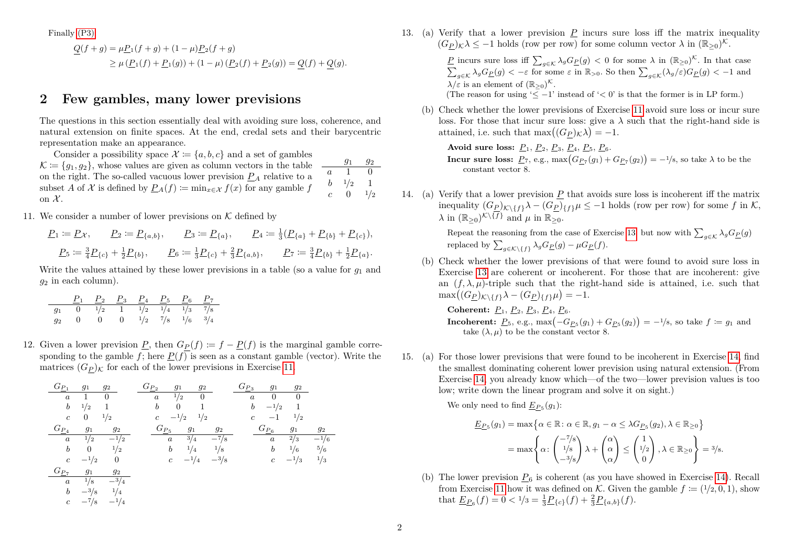Finally [\(P3\):](#page-0-2)

$$
Q(f+g) = \mu P_1(f+g) + (1-\mu) P_2(f+g)
$$
  
\n
$$
\geq \mu (P_1(f) + P_1(g)) + (1-\mu) (P_2(f) + P_2(g)) = Q(f) + Q(g).
$$

#### **2 Few gambles, many lower previsions**

The questions in this section essentially deal with avoiding sure loss, coherence, and natural extension on finite spaces. At the end, credal sets and their barycentric representation make an appearance.

*g*<sup>1</sup> *g*<sup>2</sup> *a* 1 0 *b* <sup>1</sup>*/*<sup>2</sup> 1  $c = 0 = \frac{1}{2}$ Consider a possibility space  $\mathcal{X} := \{a, b, c\}$  and a set of gambles  $\mathcal{K} \coloneqq \{g_1, g_2\}$ , whose values are given as column vectors in the table on the right. The so-called vacuous lower prevision  $P_A$  relative to a subset *A* of *X* is defined by  $P_A(f) \coloneqq \min_{x \in \mathcal{X}} f(x)$  for any gamble *f* on  $\mathcal{X}$ .

<span id="page-1-0"></span>11. We consider a number of lower previsions on  $K$  defined by

 $P_1 \coloneqq P_X, \qquad P_2 \coloneqq P_{\{a,b\}}, \qquad P_3 \coloneqq P_{\{a\}}, \qquad P_4 \coloneqq \frac{1}{3}(P_{\{a\}} + P_{\{b\}} + P_{\{c\}}),$  $P_5 \coloneqq \frac{3}{4} P_{\{c\}} + \frac{1}{2} P_{\{b\}}, \qquad P_6 \coloneqq \frac{1}{3} P_{\{c\}} + \frac{2}{3} P_{\{a,b\}}, \qquad P_7 \coloneqq \frac{3}{4} P_{\{b\}} + \frac{1}{2} P_{\{a\}}.$ 

Write the values attained by these lower previsions in a table (so a value for  $q_1$  and  $q_2$  in each column).

|  |  | $P_1$ $P_2$ $P_3$ $P_4$ $P_5$ $P_6$ $P_7$ |  |                                                                                               |
|--|--|-------------------------------------------|--|-----------------------------------------------------------------------------------------------|
|  |  |                                           |  | $g_1$ 0 $\frac{1}{2}$ 1 $\frac{1}{2}$ $\frac{1}{4}$ $\frac{1}{4}$ $\frac{1}{3}$ $\frac{7}{8}$ |
|  |  |                                           |  | $g_2$ 0 0 0 $1/2$ $7/8$ $1/6$ $3/4$                                                           |

12. Given a lower prevision *P*, then  $G_P(f) := f - P(f)$  is the marginal gamble corresponding to the gamble  $f$ ; here  $P(f)$  is seen as a constant gamble (vector). Write the matrices  $(G_P)_{\mathcal{K}}$  for each of the lower previsions in Exercise [11.](#page-1-0)

*G<sup>P</sup>* <sup>1</sup> *g*<sup>1</sup> *g*<sup>2</sup> *a* 1 0 *b* <sup>1</sup>*/*<sup>2</sup> 1 *c* 0 <sup>1</sup>*/*<sup>2</sup> *G<sup>P</sup>* <sup>2</sup> *g*<sup>1</sup> *g*<sup>2</sup> *a* <sup>1</sup>*/*<sup>2</sup> 0 *b* 0 1 *c* −1*/*<sup>2</sup> <sup>1</sup>*/*<sup>2</sup> *G<sup>P</sup>* <sup>3</sup> *g*<sup>1</sup> *g*<sup>2</sup> *a* 0 0 *b* −1*/*<sup>2</sup> 1 *c* −1 <sup>1</sup>*/*<sup>2</sup> *G<sup>P</sup>* <sup>4</sup> *g*<sup>1</sup> *g*<sup>2</sup> *a* <sup>1</sup>*/*<sup>2</sup> −1*/*<sup>2</sup> *b* 0 <sup>1</sup>*/*<sup>2</sup> *c* −1*/*<sup>2</sup> 0 *G<sup>P</sup>* <sup>5</sup> *g*<sup>1</sup> *g*<sup>2</sup> *a* <sup>3</sup>*/*<sup>4</sup> −7*/*<sup>8</sup> *b* <sup>1</sup>*/*<sup>4</sup> <sup>1</sup>*/*<sup>8</sup> *c* −1*/*<sup>4</sup> −3*/*<sup>8</sup> *G<sup>P</sup>* <sup>6</sup> *g*<sup>1</sup> *g*<sup>2</sup> *a* <sup>2</sup>*/*<sup>3</sup> −1*/*<sup>6</sup> *b* <sup>1</sup>*/*<sup>6</sup> <sup>5</sup>*/*<sup>6</sup> *c* −1*/*<sup>3</sup> <sup>1</sup>*/*<sup>3</sup> *G<sup>P</sup>* <sup>7</sup> *g*<sup>1</sup> *g*<sup>2</sup> *a* <sup>1</sup>*/*<sup>8</sup> −3*/*<sup>4</sup> *b* −3*/*<sup>8</sup> <sup>1</sup>*/*<sup>4</sup> *c* −7*/*<sup>8</sup> −1*/*<sup>4</sup>

<span id="page-1-1"></span>13. (a) Verify that a lower prevision *P* incurs sure loss iff the matrix inequality  $(G_{\underline{P}})_{\mathcal{K}}\lambda \leq -1$  holds (row per row) for some column vector  $\lambda$  in  $(\mathbb{R}_{\geq 0})^{\mathcal{K}}$ .

> *P* incurs sure loss iff  $\sum_{g \in \mathcal{K}} \lambda_g G_P(g) < 0$  for some  $\lambda$  in  $(\mathbb{R}_{\geq 0})^{\mathcal{K}}$ . In that case  $\sum_{g \in \mathcal{K}} \lambda_g G_P(g) < -\varepsilon$  for some  $\varepsilon$  in  $\mathbb{R}_{>0}$ . So then  $\sum_{g \in \mathcal{K}} (\lambda_g/\varepsilon) G_P(g) < -1$  and  $\lambda/\varepsilon$  is an element of  $(\mathbb{R}_{\geq 0})^{\mathcal{K}}$ .

(The reason for using ' $\leq -1$ ' instead of ' $\leq 0$ ' is that the former is in LP form.)

(b) Check whether the lower previsions of Exercise [11](#page-1-0) avoid sure loss or incur sure loss. For those that incur sure loss: give a  $\lambda$  such that the right-hand side is attained, i.e. such that  $\max((G_{\underline{P}})_{\mathcal{K}}\lambda) = -1$ .

**Avoid sure loss:** *P*1, *P*2, *P*3, *P*4, *P*5, *P*6. **Incur sure loss:**  $\underline{P}_7$ , e.g.,  $\max(G_{\underline{P}_7}(g_1) + G_{\underline{P}_7}(g_2)) = -\frac{1}{8}$ , so take  $\lambda$  to be the constant vector 8.

<span id="page-1-2"></span>14. (a) Verify that a lower prevision *P* that avoids sure loss is incoherent iff the matrix inequality  $(G_P)_{K\setminus\{f\}}\lambda - (G_P)_{\{f\}}\mu \leq -1$  holds (row per row) for some *f* in K,  $\lambda$  in  $(\mathbb{R}_{\geq 0})^{\mathcal{K}\setminus\{f\}}$  and  $\mu$  in  $\mathbb{R}_{\geq 0}$ .

> Repeat the reasoning from the case of Exercise [13,](#page-1-1) but now with  $\sum_{g \in \mathcal{K}} \lambda_g G_P(g)$ replaced by  $\sum_{g \in \mathcal{K} \setminus \{f\}} \lambda_g G_{\underline{P}}(g) - \mu G_{\underline{P}}(f)$ .

(b) Check whether the lower previsions of that were found to avoid sure loss in Exercise [13](#page-1-1) are coherent or incoherent. For those that are incoherent: give an  $(f, \lambda, \mu)$ -triple such that the right-hand side is attained, i.e. such that  $\max((G_{\underline{P}})_{\mathcal{K}\backslash\{f\}}\lambda - (G_{\underline{P}})_{\{f\}}\mu) = -1.$ 

**Coherent:** *P*1, *P*2, *P*3, *P*4, *P*6. **Incoherent:**  $\underline{P}_5$ , e.g., max $\left(-G_{\underline{P}_5}(g_1) + G_{\underline{P}_5}(g_2)\right) = -\frac{1}{8}$ , so take  $f \coloneqq g_1$  and take  $(\lambda, \mu)$  to be the constant vector 8.

15. (a) For those lower previsions that were found to be incoherent in Exercise [14,](#page-1-2) find the smallest dominating coherent lower prevision using natural extension. (From Exercise [14,](#page-1-2) you already know which—of the two—lower prevision values is too low; write down the linear program and solve it on sight.)

We only need to find  $\underline{E}_{P_5}(g_1)$ :

$$
\underline{E_{P_5}}(g_1) = \max \Big\{ \alpha \in \mathbb{R} \colon \alpha \in \mathbb{R}, g_1 - \alpha \leq \lambda G_{P_5}(g_2), \lambda \in \mathbb{R}_{\geq 0} \Big\}
$$
  
= 
$$
\max \Bigg\{ \alpha \colon \begin{pmatrix} -7/s \\ 1/s \\ -3/s \end{pmatrix} \lambda + \begin{pmatrix} \alpha \\ \alpha \\ \alpha \end{pmatrix} \leq \begin{pmatrix} 1 \\ 1/2 \\ 0 \end{pmatrix}, \lambda \in \mathbb{R}_{\geq 0} \Bigg\} = \frac{3}{s}.
$$

(b) The lower prevision  $P_6$  is coherent (as you have showed in Exercise [14\)](#page-1-2). Recall from Exercise [11](#page-1-0) how it was defined on  $K$ . Given the gamble  $f := (1/2, 0, 1)$ , show that  $\underline{E_{P}}_6(f) = 0 < 1/3 = \frac{1}{3}\underline{P}_{\{c\}}(f) + \frac{2}{3}\underline{P}_{\{a,b\}}(f).$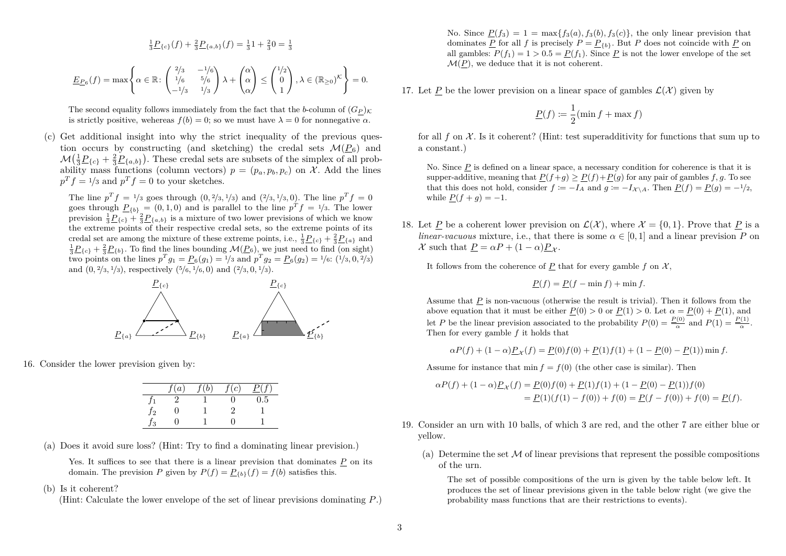$$
\frac{1}{3}P_{\{c\}}(f) + \frac{2}{3}P_{\{a,b\}}(f) = \frac{1}{3}1 + \frac{2}{3}0 = \frac{1}{3}
$$

$$
\underline{E}_{P_6}(f) = \max\left\{\alpha \in \mathbb{R} : \begin{pmatrix} 2/3 & -1/6 \\ 1/6 & 5/6 \\ -1/3 & 1/3 \end{pmatrix} \lambda + \begin{pmatrix} \alpha \\ \alpha \\ \alpha \end{pmatrix} \le \begin{pmatrix} 1/2 \\ 0 \\ 1 \end{pmatrix}, \lambda \in (\mathbb{R}_{\ge 0})^{\mathcal{K}} \right\} = 0.
$$

The second equality follows immediately from the fact that the *b*-column of  $(G_P)_K$ is strictly positive, wehereas  $f(b) = 0$ ; so we must have  $\lambda = 0$  for nonnegative  $\alpha$ .

(c) Get additional insight into why the strict inequality of the previous question occurs by constructing (and sketching) the credal sets  $\mathcal{M}(P_6)$  and  $\mathcal{M}\left(\frac{1}{3}\underline{P}_{\{c\}} + \frac{2}{3}\underline{P}_{\{a,b\}}\right)$ . These credal sets are subsets of the simplex of all probability mass functions (column vectors)  $p = (p_a, p_b, p_c)$  on X. Add the lines  $p^T f = \frac{1}{3}$  and  $p^T f = 0$  to your sketches.

The line  $p^T f = \frac{1}{3}$  goes through  $(0, \frac{2}{3}, \frac{1}{3})$  and  $(\frac{2}{3}, \frac{1}{3}, 0)$ . The line  $p^T f = 0$ goes through  $\underline{P}_{\{b\}} = (0,1,0)$  and is parallel to the line  $p^T f = \frac{1}{3}$ . The lower prevision  $\frac{1}{3}P_{\{c\}} + \frac{2}{3}P_{\{a,b\}}$  is a mixture of two lower previsions of which we know the extreme points of their respective credal sets, so the extreme points of its credal set are among the mixture of these extreme points, i.e.,  $\frac{1}{3}P_{c}$  +  $\frac{2}{3}P_{a}$  and  $\frac{1}{3}P_{c}$ <sub>{*c*}</sub> +  $\frac{2}{3}P_{c}$ <sub>*b*}</sub>. To find the lines bounding  $\mathcal{M}(P_6)$ , we just need to find (on sight) two points on the lines  $p^T g_1 = \underline{P}_6(g_1) = 1/3$  and  $p^T g_2 = \underline{P}_6(g_2) = 1/6$ :  $(1/3, 0, 2/3)$ and (0*,* <sup>2</sup>*/*3*,* <sup>1</sup>*/*3), respectively ( <sup>5</sup>*/*6*,* <sup>1</sup>*/*6*,* 0) and ( <sup>2</sup>*/*3*,* 0*,* <sup>1</sup>*/*3).



16. Consider the lower prevision given by:

|         | (a) | b | (c) |         |
|---------|-----|---|-----|---------|
|         |     |   | n   | $0.5\,$ |
| $J_{2}$ |     |   | ٠,  |         |
| 3       |     |   | ш   |         |

- (a) Does it avoid sure loss? (Hint: Try to find a dominating linear prevision.)
	- Yes. It suffices to see that there is a linear prevision that dominates P on its domain. The prevision *P* given by  $P(f) = P_{\{b\}}(f) = f(b)$  satisfies this.
- (b) Is it coherent?

(Hint: Calculate the lower envelope of the set of linear previsions dominating *P*.)

No. Since  $P(f_3) = 1 = \max\{f_3(a), f_3(b), f_3(c)\}\$ , the only linear prevision that dominates *P* for all *f* is precisely  $P = P_{\{b\}}$ . But *P* does not coincide with *P* on all gambles:  $P(f_1) = 1 > 0.5 = P(f_1)$ . Since P is not the lower envelope of the set  $\mathcal{M}(P)$ , we deduce that it is not coherent.

17. Let P be the lower prevision on a linear space of gambles  $\mathcal{L}(\mathcal{X})$  given by

$$
\underline{P}(f) \coloneqq \frac{1}{2}(\min f + \max f)
$$

for all  $f$  on  $\mathcal X$ . Is it coherent? (Hint: test superadditivity for functions that sum up to a constant.)

No. Since P is defined on a linear space, a necessary condition for coherence is that it is supper-additive, meaning that  $P(f+g) \ge P(f)+P(g)$  for any pair of gambles  $f, g$ . To see that this does not hold, consider  $f := -I_A$  and  $g := -I_{X \setminus A}$ . Then  $P(f) = P(g) = -1/2$ , while  $P(f + q) = -1$ .

18. Let P be a coherent lower prevision on  $\mathcal{L}(\mathcal{X})$ , where  $\mathcal{X} = \{0, 1\}$ . Prove that P is a *linear-vacuous* mixture, i.e., that there is some  $\alpha \in [0, 1]$  and a linear prevision *P* on  $\mathcal{X}$  such that  $P = \alpha P + (1 - \alpha)P_{\mathcal{X}}$ .

It follows from the coherence of  $P$  that for every gamble  $f$  on  $\mathcal{X}$ ,

$$
\underline{P}(f) = \underline{P}(f - \min f) + \min f.
$$

Assume that *P* is non-vacuous (otherwise the result is trivial). Then it follows from the above equation that it must be either  $P(0) > 0$  or  $P(1) > 0$ . Let  $\alpha = P(0) + P(1)$ , and let *P* be the linear prevision associated to the probability  $P(0) = \frac{P(0)}{\alpha}$  and  $P(1) = \frac{P(1)}{\alpha}$ . Then for every gamble *f* it holds that

$$
\alpha P(f) + (1 - \alpha) P_{\mathcal{X}}(f) = P(0)f(0) + P(1)f(1) + (1 - P(0) - P(1)) \min f.
$$

Assume for instance that min  $f = f(0)$  (the other case is similar). Then

$$
\alpha P(f) + (1 - \alpha) \underline{P}_{\mathcal{X}}(f) = \underline{P}(0) f(0) + \underline{P}(1) f(1) + (1 - \underline{P}(0) - \underline{P}(1)) f(0)
$$
  
= 
$$
\underline{P}(1)(f(1) - f(0)) + f(0) = \underline{P}(f - f(0)) + f(0) = \underline{P}(f).
$$

- 19. Consider an urn with 10 balls, of which 3 are red, and the other 7 are either blue or yellow.
	- (a) Determine the set  $\mathcal M$  of linear previsions that represent the possible compositions of the urn.

The set of possible compositions of the urn is given by the table below left. It produces the set of linear previsions given in the table below right (we give the probability mass functions that are their restrictions to events).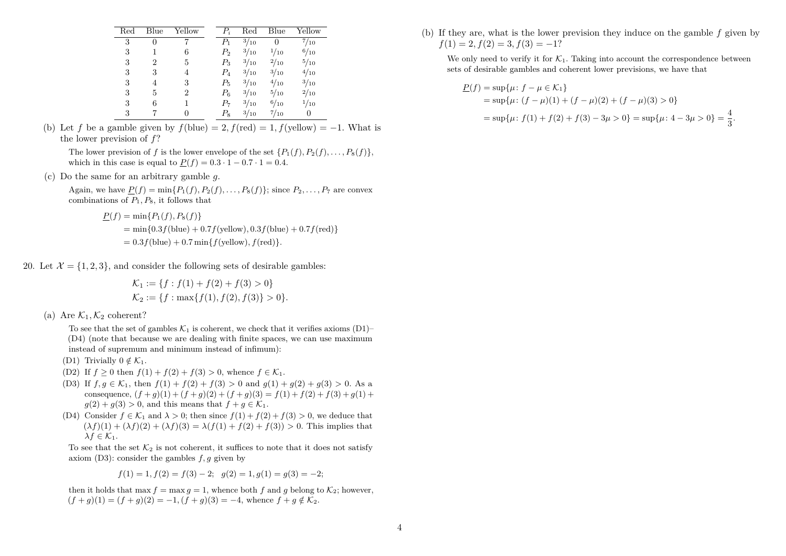| $_{\rm Red}$ | Blue | Yellow   | $P_i$ | $_{\rm Red}$ | Blue         | Yellow       |
|--------------|------|----------|-------|--------------|--------------|--------------|
| 3            | 0    |          | $P_1$ | 3/10         | O            | $^{7/}_{10}$ |
| 3            |      | 6        | $P_2$ | 3/10         | 1/10         | 6/10         |
| 3            | 2    | 5        | $P_3$ | 3/10         | $^{2}/_{10}$ | 5/10         |
| 3            | 3    | 4        | $P_4$ | 3/10         | 3/10         | 4/10         |
| 3            | 4    | 3        | $P_5$ | 3/10         | 4/10         | 3/10         |
| 3            | 5    | 2        | $P_6$ | 3/10         | $^{5/10}$    | $^{2}/_{10}$ |
| 3            | 6    |          | Р7    | 3/10         | 6/10         | 1/10         |
| 3            |      | $\theta$ | $P_8$ | 3/10         | $^{7/}_{10}$ | $\theta$     |

(b) Let f be a gamble given by  $f(\text{blue}) = 2$ ,  $f(\text{red}) = 1$ ,  $f(\text{yellow}) = -1$ . What is the lower prevision of *f*?

The lower prevision of *f* is the lower envelope of the set  $\{P_1(f), P_2(f), \ldots, P_8(f)\}\,$ which in this case is equal to  $P(f) = 0.3 \cdot 1 - 0.7 \cdot 1 = 0.4$ .

(c) Do the same for an arbitrary gamble *g*.

Again, we have  $P(f) = \min\{P_1(f), P_2(f), \ldots, P_8(f)\}\;$  since  $P_2, \ldots, P_7$  are convex combinations of *P*1*, P*8, it follows that

$$
\underline{P}(f) = \min\{P_1(f), P_8(f)\}\
$$
  
= min{0.3f(blue) + 0.7f(yellow), 0.3f(blue) + 0.7f(red)}  
= 0.3f(blue) + 0.7 min{f(yellow), f(red)}.

20. Let  $\mathcal{X} = \{1, 2, 3\}$ , and consider the following sets of desirable gambles:

$$
\mathcal{K}_1 := \{ f : f(1) + f(2) + f(3) > 0 \}
$$
  

$$
\mathcal{K}_2 := \{ f : \max\{ f(1), f(2), f(3) \} > 0 \}.
$$

(a) Are  $\mathcal{K}_1, \mathcal{K}_2$  coherent?

To see that the set of gambles  $\mathcal{K}_1$  is coherent, we check that it verifies axioms  $(D1)$ – (D4) (note that because we are dealing with finite spaces, we can use maximum instead of supremum and minimum instead of infimum):

- (D1) Trivially  $0 \notin \mathcal{K}_1$ .
- (D2) If  $f \ge 0$  then  $f(1) + f(2) + f(3) > 0$ , whence  $f \in \mathcal{K}_1$ .
- (D3) If  $f, g \in \mathcal{K}_1$ , then  $f(1) + f(2) + f(3) > 0$  and  $g(1) + g(2) + g(3) > 0$ . As a consequence,  $(f+g)(1) + (f+g)(2) + (f+g)(3) = f(1) + f(2) + f(3) + g(1) +$  $q(2) + q(3) > 0$ , and this means that  $f + q \in \mathcal{K}_1$ .
- (D4) Consider  $f \in \mathcal{K}_1$  and  $\lambda > 0$ ; then since  $f(1) + f(2) + f(3) > 0$ , we deduce that  $(\lambda f)(1) + (\lambda f)(2) + (\lambda f)(3) = \lambda (f(1) + f(2) + f(3)) > 0$ . This implies that  $\lambda f \in \mathcal{K}_1$ .

To see that the set  $\mathcal{K}_2$  is not coherent, it suffices to note that it does not satisfy axiom (D3): consider the gambles *f, g* given by

$$
f(1) = 1, f(2) = f(3) - 2;
$$
  $g(2) = 1, g(1) = g(3) = -2;$ 

then it holds that max  $f = \max q = 1$ , whence both f and q belong to  $\mathcal{K}_2$ ; however,  $(f+q)(1) = (f+q)(2) = -1, (f+q)(3) = -4$ , whence  $f + q \notin \mathcal{K}_2$ .

(b) If they are, what is the lower prevision they induce on the gamble *f* given by  $f(1) = 2, f(2) = 3, f(3) = -1?$ 

We only need to verify it for  $K_1$ . Taking into account the correspondence between sets of desirable gambles and coherent lower previsions, we have that

$$
\underline{P}(f) = \sup \{ \mu : f - \mu \in \mathcal{K}_1 \}
$$
  
=  $\sup \{ \mu : (f - \mu)(1) + (f - \mu)(2) + (f - \mu)(3) > 0 \}$   
=  $\sup \{ \mu : f(1) + f(2) + f(3) - 3\mu > 0 \} = \sup \{ \mu : 4 - 3\mu > 0 \} = \frac{4}{3}.$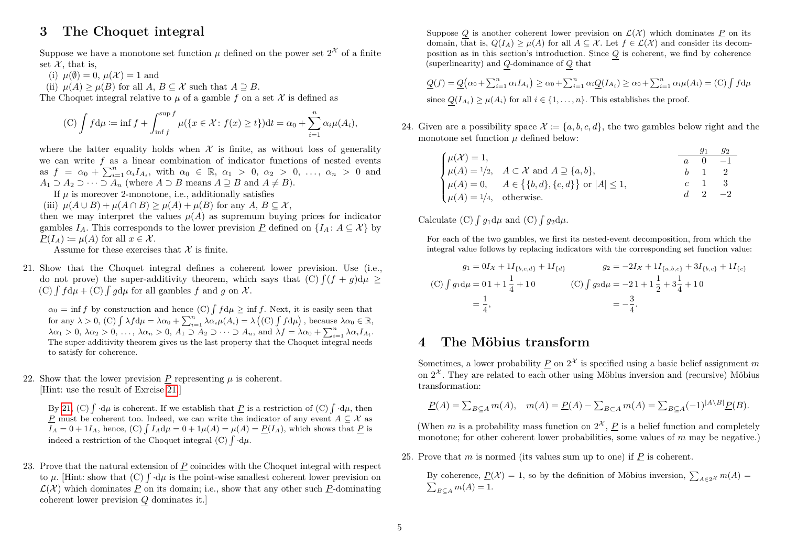## <span id="page-4-1"></span>**3 The Choquet integral**

Suppose we have a monotone set function  $\mu$  defined on the power set  $2^{\mathcal{X}}$  of a finite set  $\mathcal{X}$ , that is,

- (i)  $\mu(\emptyset) = 0$ ,  $\mu(\mathcal{X}) = 1$  and
- (ii)  $\mu(A) > \mu(B)$  for all  $A, B \subseteq \mathcal{X}$  such that  $A \supseteq B$ .

The Choquet integral relative to  $\mu$  of a gamble f on a set  $\mathcal X$  is defined as

(C) 
$$
\int f d\mu := \inf f + \int_{\inf f}^{\sup f} \mu(\{x \in \mathcal{X} : f(x) \ge t\}) dt = \alpha_0 + \sum_{i=1}^n \alpha_i \mu(A_i),
$$

where the latter equality holds when  $\mathcal X$  is finite, as without loss of generality we can write *f* as a linear combination of indicator functions of nested events  $\alpha_0 \neq \sum_{i=1}^n \alpha_i I_{A_i}$ , with  $\alpha_0 \in \mathbb{R}$ ,  $\alpha_1 > 0$ ,  $\alpha_2 > 0$ , ...,  $\alpha_n > 0$  and *A*<sub>1</sub> ⊃ *A*<sub>2</sub> ⊃ · · · ⊃ *A*<sub>*n*</sub> (where *A* ⊃ *B* means *A* ≥ *B* and *A* ≠ *B*).

If  $\mu$  is moreover 2-monotone, i.e., additionally satisfies

(iii)  $\mu(A \cup B) + \mu(A \cap B) > \mu(A) + \mu(B)$  for any  $A, B \subseteq \mathcal{X}$ ,

then we may interpret the values  $\mu(A)$  as supremum buying prices for indicator gambles  $I_A$ . This corresponds to the lower prevision P defined on  $\{I_A: A \subseteq \mathcal{X}\}\$  by  $P(I_A) := \mu(A)$  for all  $x \in \mathcal{X}$ .

<span id="page-4-0"></span>Assume for these exercises that  $\mathcal X$  is finite.

21. Show that the Choquet integral defines a coherent lower prevision. Use (i.e., do not prove) the super-additivity theorem, which says that  $(C) \int (f + g) d\mu \ge$  $(C) \int f d\mu + C \int g d\mu$  for all gambles f and g on X.

 $\alpha_0 = \inf f$  by construction and hence (C)  $\int f d\mu \ge \inf f$ . Next, it is easily seen that  $\int \lambda f d\mu = \lambda \alpha_0 + \sum_{i=1}^n \lambda \alpha_i \mu(A_i) = \lambda (\text{(C) } \int f d\mu), \text{ because } \lambda \alpha_0 \in \mathbb{R},$  $\lambda \alpha_1 > 0$ ,  $\lambda \alpha_2 > 0$ , ...,  $\lambda \alpha_n > 0$ ,  $A_1 \supseteq A_2 \supseteq \cdots \supseteq A_n$ , and  $\lambda f = \lambda \alpha_0 + \sum_{i=1}^n \lambda \alpha_i I_{A_i}$ . The super-additivity theorem gives us the last property that the Choquet integral needs to satisfy for coherence.

22. Show that the lower prevision  $P$  representing  $\mu$  is coherent. [Hint: use the result of Exrcise [21.](#page-4-0)]

By [21,](#page-4-0) (C)  $\int d\mu$  is coherent. If we establish that  $\underline{P}$  is a restriction of (C)  $\int d\mu$ , then *P* must be coherent too. Indeed, we can write the indicator of any event *A* ⊆ X as  $I_A = 0 + 1I_A$ , hence, (C)  $\int I_A d\mu = 0 + 1\mu(A) = \mu(A) = P(I_A)$ , which shows that *P* is indeed a restriction of the Choquet integral (C)  $\int d\mu$ .

23. Prove that the natural extension of *P* coincides with the Choquet integral with respect to  $\mu$ . [Hint: show that (C)  $\int d\mu$  is the point-wise smallest coherent lower prevision on  $\mathcal{L}(\mathcal{X})$  which dominates P on its domain; i.e., show that any other such P-dominating coherent lower prevision *Q* dominates it.]

Suppose Q is another coherent lower prevision on  $\mathcal{L}(\mathcal{X})$  which dominates P on its domain, that is,  $Q(I_A) \geq \mu(A)$  for all  $A \subseteq \mathcal{X}$ . Let  $f \in \mathcal{L}(\mathcal{X})$  and consider its decomposition as in this section's introduction. Since *Q* is coherent, we find by coherence (superlinearity) and  $Q$  dominance of  $Q$  that

$$
\underline{Q}(f) = \underline{Q}(\alpha_0 + \sum_{i=1}^n \alpha_i I_{A_i}) \ge \alpha_0 + \sum_{i=1}^n \alpha_i \underline{Q}(I_{A_i}) \ge \alpha_0 + \sum_{i=1}^n \alpha_i \mu(A_i) = \text{(C)} \int f d\mu
$$
  
since  $\underline{Q}(I_{A_i}) \ge \mu(A_i)$  for all  $i \in \{1, ..., n\}$ . This establishes the proof.

24. Given are a possibility space  $\mathcal{X} := \{a, b, c, d\}$ , the two gambles below right and the monotone set function *µ* defined below:

|                                     |                                                                                                                                                                            |  | 92                   |
|-------------------------------------|----------------------------------------------------------------------------------------------------------------------------------------------------------------------------|--|----------------------|
| $\mu(\mathcal{X})=1,$               |                                                                                                                                                                            |  | $a \quad 0 \quad -1$ |
|                                     |                                                                                                                                                                            |  | $b \quad 1 \quad 2$  |
|                                     | $\begin{cases} \mu(A) = 1/2, & A \subset \mathcal{X} \text{ and } A \supseteq \{a, b\}, \\ \mu(A) = 0, & A \in \{\{b, d\}, \{c, d\}\} \text{ or }  A  \leq 1, \end{cases}$ |  | $c \quad 1 \quad 3$  |
| $\mu(A) = \frac{1}{4}$ , otherwise. |                                                                                                                                                                            |  | $d \quad 2 \quad -2$ |

Calculate (C)  $\int g_1 d\mu$  and (C)  $\int g_2 d\mu$ .

For each of the two gambles, we first its nested-event decomposition, from which the integral value follows by replacing indicators with the corresponding set function value:

$$
g_1 = 0I_X + 1I_{\{b,c,d\}} + 1I_{\{d\}}
$$
  
(C)  $\int g_1 d\mu = 01 + 1 \frac{1}{4} + 10$   

$$
= \frac{1}{4}, \qquad (C) \int g_2 d\mu = -21 + 1 \frac{1}{2} + 3\frac{1}{4} + 10
$$
  

$$
= -\frac{3}{4}.
$$

#### **4 The Möbius transform**

Sometimes, a lower probability  $\underline{P}$  on  $2^{\mathcal{X}}$  is specified using a basic belief assignment m on  $2^{\mathcal{X}}$ . They are related to each other using Möbius inversion and (recursive) Möbius transformation:

$$
\underline{P}(A) = \sum_{B \subseteq A} m(A), \quad m(A) = \underline{P}(A) - \sum_{B \subset A} m(A) = \sum_{B \subseteq A} (-1)^{|A \setminus B|} \underline{P}(B).
$$

(When *m* is a probability mass function on  $2^{\mathcal{X}}$ , *P* is a belief function and completely monotone; for other coherent lower probabilities, some values of *m* may be negative.)

25. Prove that *m* is normed (its values sum up to one) if *P* is coherent.

By coherence,  $\underline{P}(\mathcal{X}) = 1$ , so by the definition of Möbius inversion,  $\sum_{A \in 2^{\mathcal{X}}} m(A) = \sum_{B \subset A} m(A) = 1$ .  $\sum_{B \subset A} m(A) = 1.$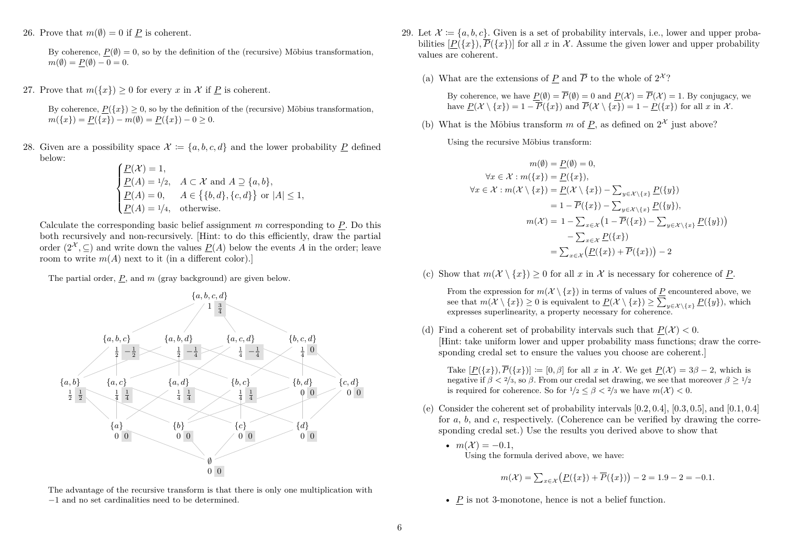26. Prove that  $m(\emptyset) = 0$  if P is coherent.

By coherence,  $P(\emptyset) = 0$ , so by the definition of the (recursive) Möbius transformation,  $m(\emptyset) = P(\emptyset) - 0 = 0.$ 

27. Prove that  $m({x}) > 0$  for every *x* in *X* if *P* is coherent.

By coherence,  $P({x}) \geq 0$ , so by the definition of the (recursive) Möbius transformation,  $m({x}) = P({x}) - m(\emptyset) = P({x}) - 0 \ge 0.$ 

28. Given are a possibility space  $\mathcal{X} := \{a, b, c, d\}$  and the lower probability P defined below:

$$
\begin{cases}\n\underline{P}(\mathcal{X}) = 1, \\
\underline{P}(A) = 1/2, & A \subset \mathcal{X} \text{ and } A \supseteq \{a, b\}, \\
\underline{P}(A) = 0, & A \in \{\{b, d\}, \{c, d\}\} \text{ or } |A| \le 1, \\
\underline{P}(A) = 1/4, & \text{otherwise.}\n\end{cases}
$$

Calculate the corresponding basic belief assignment *m* corresponding to *P*. Do this both recursively and non-recursively. [Hint: to do this efficiently, draw the partial order  $(2^{\mathcal{X}}, \subseteq)$  and write down the values  $P(A)$  below the events *A* in the order; leave room to write  $m(A)$  next to it (in a different color).]

The partial order, *P*, and *m* (gray background) are given below.



The advantage of the recursive transform is that there is only one multiplication with −1 and no set cardinalities need to be determined.

- 29. Let  $\mathcal{X} := \{a, b, c\}$ . Given is a set of probability intervals, i.e., lower and upper probabilities  $[P({x}), \overline{P({x})}]$  for all *x* in X. Assume the given lower and upper probability values are coherent.
	- (a) What are the extensions of  $\underline{P}$  and  $\overline{P}$  to the whole of  $2^{\mathcal{X}}$ ?

By coherence, we have  $\underline{P}(\emptyset) = P(\emptyset) = 0$  and  $\underline{P}(\mathcal{X}) = P(\mathcal{X}) = 1$ . By conjugacy, we have  $P(X \setminus \{x\}) = 1 - P(\{x\})$  and  $P(X \setminus \{x\}) = 1 - P(\{x\})$  for all *x* in X.

(b) What is the Möbius transform *m* of  $\underline{P}$ , as defined on  $2^{\mathcal{X}}$  just above?

Using the recursive Möbius transform:

$$
m(\emptyset) = \underline{P}(\emptyset) = 0,
$$
  
\n
$$
\forall x \in \mathcal{X} : m(\{x\}) = \underline{P}(\{x\}),
$$
  
\n
$$
\forall x \in \mathcal{X} : m(\mathcal{X} \setminus \{x\}) = \underline{P}(\mathcal{X} \setminus \{x\}) - \sum_{y \in \mathcal{X} \setminus \{x\}} \underline{P}(\{y\})
$$
  
\n
$$
= 1 - \overline{P}(\{x\}) - \sum_{y \in \mathcal{X} \setminus \{x\}} \underline{P}(\{y\}),
$$
  
\n
$$
m(\mathcal{X}) = 1 - \sum_{x \in \mathcal{X}} (1 - \overline{P}(\{x\}) - \sum_{y \in \mathcal{X} \setminus \{x\}} \underline{P}(\{y\}))
$$
  
\n
$$
- \sum_{x \in \mathcal{X}} \underline{P}(\{x\})
$$
  
\n
$$
= \sum_{x \in \mathcal{X}} (\underline{P}(\{x\}) + \overline{P}(\{x\})) - 2
$$

(c) Show that  $m(\mathcal{X} \setminus \{x\}) > 0$  for all x in X is necessary for coherence of P.

From the expression for  $m(\mathcal{X} \setminus \{x\})$  in terms of values of  $\underline{P}$  encountered above, we see that  $m(\mathcal{X} \setminus \{x\}) \geq 0$  is equivalent to  $\underline{P}(\mathcal{X} \setminus \{x\}) \geq \sum_{y \in \mathcal{X} \setminus \{x\}} \underline{P}(\{y\})$ , which expresses superlinearity, a property necessary for coherence.

(d) Find a coherent set of probability intervals such that  $P(X) < 0$ . [Hint: take uniform lower and upper probability mass functions; draw the corresponding credal set to ensure the values you choose are coherent.]

Take  $[P({x}), \overline{P}({x})] := [0, \beta]$  for all *x* in X. We get  $P(\mathcal{X}) = 3\beta - 2$ , which is negative if  $\beta$  < 2/<sub>3</sub>, so  $\beta$ . From our credal set drawing, we see that moreover  $\beta$  > 1/<sub>2</sub> is required for coherence. So for  $1/2 < \beta < 2/3$  we have  $m(\mathcal{X}) < 0$ .

- (e) Consider the coherent set of probability intervals [0*.*2*,* 0*.*4], [0*.*3*,* 0*.*5], and [0*.*1*,* 0*.*4] for *a*, *b*, and *c*, respectively. (Coherence can be verified by drawing the corresponding credal set.) Use the results you derived above to show that
	- $m(\mathcal{X}) = -0.1$ , Using the formula derived above, we have:

$$
m(\mathcal{X}) = \sum_{x \in \mathcal{X}} \left( \underline{P}(\{x\}) + \overline{P}(\{x\}) \right) - 2 = 1.9 - 2 = -0.1.
$$

• *P* is not 3-monotone, hence is not a belief function.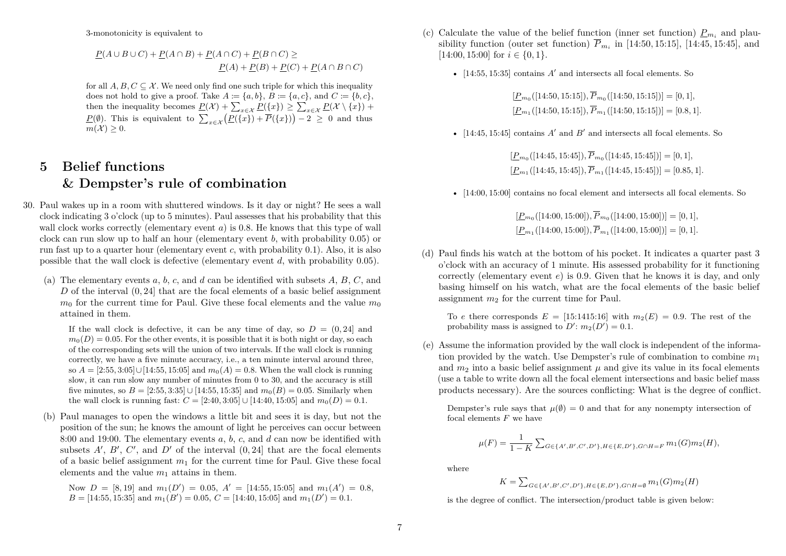3-monotonicity is equivalent to

$$
\underline{P}(A \cup B \cup C) + \underline{P}(A \cap B) + \underline{P}(A \cap C) + \underline{P}(B \cap C) \ge
$$
  

$$
\underline{P}(A) + \underline{P}(B) + \underline{P}(C) + \underline{P}(A \cap B \cap C)
$$

for all  $A, B, C \subseteq \mathcal{X}$ . We need only find one such triple for which this inequality does not hold to give a proof. Take  $A \coloneqq \{a, b\}$ ,  $B \coloneqq \{a, c\}$ , and  $C \coloneqq \{b, c\}$ , then the inequality becomes  $\underline{P}(\mathcal{X}) + \sum_{x \in \mathcal{X}} \underline{P}(\{x\}) \ge \sum_{x \in \mathcal{X}} \underline{P}(\mathcal{X} \setminus \{x\}) +$ *P*( $\emptyset$ ). This is equivalent to  $\sum_{x \in \mathcal{X}} (P(\{x\}) + \overline{P}(\{x\})) - 2 \ge 0$  and thus  $m(\mathcal{X}) \geq 0$ .

# **5 Belief functions & Dempster's rule of combination**

- 30. Paul wakes up in a room with shuttered windows. Is it day or night? He sees a wall clock indicating 3 o'clock (up to 5 minutes). Paul assesses that his probability that this wall clock works correctly (elementary event *a*) is 0*.*8. He knows that this type of wall clock can run slow up to half an hour (elementary event *b*, with probability 0*.*05) or run fast up to a quarter hour (elementary event *c*, with probability 0*.*1). Also, it is also possible that the wall clock is defective (elementary event *d*, with probability 0*.*05).
	- (a) The elementary events *a*, *b*, *c*, and *d* can be identified with subsets *A*, *B*, *C*, and *D* of the interval (0*,* 24] that are the focal elements of a basic belief assignment  $m_0$  for the current time for Paul. Give these focal elements and the value  $m_0$ attained in them.

If the wall clock is defective, it can be any time of day, so  $D = (0, 24]$  and  $m_0(D) = 0.05$ . For the other events, it is possible that it is both night or day, so each of the corresponding sets will the union of two intervals. If the wall clock is running correctly, we have a five minute accuracy, i.e., a ten minute interval around three, so  $A = [2:55, 3:05] \cup [14:55, 15:05]$  and  $m_0(A) = 0.8$ . When the wall clock is running slow, it can run slow any number of minutes from 0 to 30, and the accuracy is still five minutes, so  $B = [2:55, 3:35] \cup [14:55, 15:35]$  and  $m_0(B) = 0.05$ . Similarly when the wall clock is running fast:  $C = [2:40, 3:05] \cup [14:40, 15:05]$  and  $m_0(D) = 0.1$ .

(b) Paul manages to open the windows a little bit and sees it is day, but not the position of the sun; he knows the amount of light he perceives can occur between 8:00 and 19:00. The elementary events *a*, *b*, *c*, and *d* can now be identified with subsets  $A'$ ,  $B'$ ,  $C'$ , and  $D'$  of the interval  $(0, 24]$  that are the focal elements of a basic belief assignment  $m_1$  for the current time for Paul. Give these focal elements and the value  $m_1$  attains in them.

Now  $D = [8, 19]$  and  $m_1(D') = 0.05$ ,  $A' = [14:55, 15:05]$  and  $m_1(A') = 0.8$ ,  $B = [14:55, 15:35]$  and  $m_1(B') = 0.05, C = [14:40, 15:05]$  and  $m_1(D') = 0.1$ .

- (c) Calculate the value of the belief function (inner set function)  $P_{m_i}$  and plausibility function (outer set function)  $P_{m_i}$  in [14:50, 15:15], [14:45, 15:45], and  $[14:00, 15:00]$  for  $i \in \{0, 1\}$ .
	- $[14:55, 15:35]$  contains  $A'$  and intersects all focal elements. So

 $[P_{m_0}([14:50, 15:15]), P_{m_0}([14:50, 15:15])] = [0, 1],$  $[P_{m_1}([14:50, 15:15]), P_{m_1}([14:50, 15:15])] = [0.8, 1].$ 

•  $[14:45, 15:45]$  contains  $A'$  and  $B'$  and intersects all focal elements. So

 $[P_{m_0}([14:45, 15:45]), P_{m_0}([14:45, 15:45])] = [0, 1],$  $[P_{m_1}([14:45, 15:45]), P_{m_1}([14:45, 15:45])] = [0.85, 1].$ 

• [14:00, 15:00] contains no focal element and intersects all focal elements. So

 $[\underline{P}_{m_0}([14:00, 15:00]), P_{m_0}([14:00, 15:00])] = [0, 1],$  $[\underline{P}_{m_1}([14:00, 15:00]), P_{m_1}([14:00, 15:00])] = [0, 1].$ 

(d) Paul finds his watch at the bottom of his pocket. It indicates a quarter past 3 o'clock with an accuracy of 1 minute. His assessed probability for it functioning correctly (elementary event *e*) is 0*.*9. Given that he knows it is day, and only basing himself on his watch, what are the focal elements of the basic belief assignment  $m_2$  for the current time for Paul.

To *e* there corresponds  $E = [15:1415:16]$  with  $m_2(E) = 0.9$ . The rest of the probability mass is assigned to  $D'$ :  $m_2(D') = 0.1$ .

(e) Assume the information provided by the wall clock is independent of the information provided by the watch. Use Dempster's rule of combination to combine *m*<sup>1</sup> and  $m_2$  into a basic belief assignment  $\mu$  and give its value in its focal elements (use a table to write down all the focal element intersections and basic belief mass products necessary). Are the sources conflicting: What is the degree of conflict.

Dempster's rule says that  $\mu(\emptyset) = 0$  and that for any nonempty intersection of focal elements *F* we have

$$
\mu(F) = \frac{1}{1 - K} \sum_{G \in \{A', B', C', D'\}, H \in \{E, D'\}, G \cap H = F} m_1(G) m_2(H),
$$

where

$$
K = \sum_{G \in \{A', B', C', D'\}, H \in \{E, D'\}, G \cap H = \emptyset} m_1(G) m_2(H)
$$

is the degree of conflict. The intersection/product table is given below: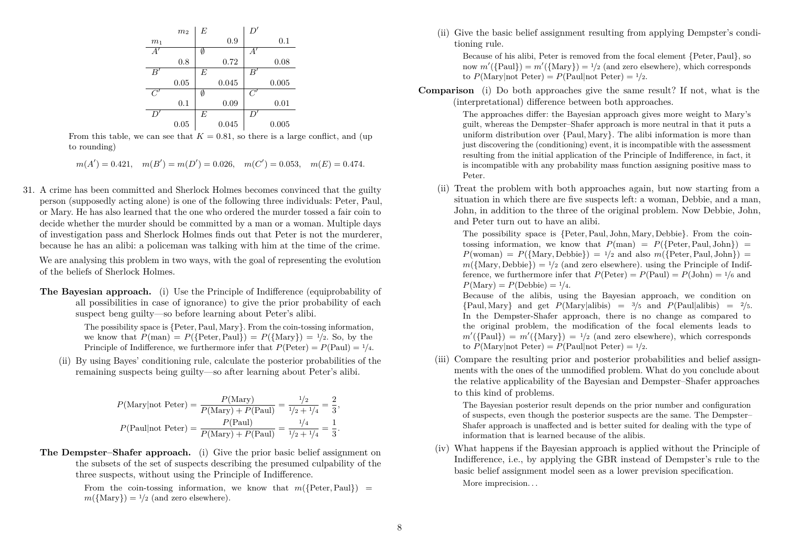|                | m <sub>2</sub> | E |       | D'           |       |
|----------------|----------------|---|-------|--------------|-------|
| m <sub>1</sub> |                |   | 0.9   |              | 0.1   |
| $\tilde{A}'$   |                | Ø |       | A'           |       |
|                | 0.8            |   | 0.72  |              | 0.08  |
| B              |                | E |       | $B^{\prime}$ |       |
|                | 0.05           |   | 0.045 |              | 0.005 |
| Ĉ"             |                | Ø |       | C'           |       |
|                | 0.1            |   | 0.09  |              | 0.01  |
|                |                |   |       |              |       |
|                |                | E |       |              |       |

From this table, we can see that  $K = 0.81$ , so there is a large conflict, and (up to rounding)

- $m(A') = 0.421$ ,  $m(B') = m(D') = 0.026$ ,  $m(C') = 0.053$ ,  $m(E) = 0.474$ .
- 31. A crime has been committed and Sherlock Holmes becomes convinced that the guilty person (supposedly acting alone) is one of the following three individuals: Peter, Paul, or Mary. He has also learned that the one who ordered the murder tossed a fair coin to decide whether the murder should be committed by a man or a woman. Multiple days of investigation pass and Sherlock Holmes finds out that Peter is not the murderer, because he has an alibi: a policeman was talking with him at the time of the crime.

We are analysing this problem in two ways, with the goal of representing the evolution of the beliefs of Sherlock Holmes.

**The Bayesian approach.** (i) Use the Principle of Indifference (equiprobability of all possibilities in case of ignorance) to give the prior probability of each suspect beng guilty—so before learning about Peter's alibi.

> The possibility space is {Peter*,*Paul*,* Mary}. From the coin-tossing information, we know that  $P(\text{man}) = P({\text{Peter}, Paul}) = P({\text{Mary}}) = 1/2$ . So, by the Principle of Indifference, we furthermore infer that  $P(\text{Peter}) = P(\text{Paul}) = \frac{1}{4}$ .

(ii) By using Bayes' conditioning rule, calculate the posterior probabilities of the remaining suspects being guilty—so after learning about Peter's alibi.

$$
P(\text{Mary}|\text{not Peter}) = \frac{P(\text{Mary})}{P(\text{Mary}) + P(\text{Paul})} = \frac{1/2}{1/2 + 1/4} = \frac{2}{3},
$$

$$
P(\text{Paul}|\text{not Peter}) = \frac{P(\text{Paul})}{P(\text{Mary}) + P(\text{Paul})} = \frac{1/4}{1/2 + 1/4} = \frac{1}{3}.
$$

**The Dempster–Shafer approach.** (i) Give the prior basic belief assignment on the subsets of the set of suspects describing the presumed culpability of the three suspects, without using the Principle of Indifference.

> From the coin-tossing information, we know that  $m({\text{Peter}},\text{Paul})$  =  $m({\text{Mary}}) = \frac{1}{2}$  (and zero elsewhere).

(ii) Give the basic belief assignment resulting from applying Dempster's conditioning rule.

Because of his alibi, Peter is removed from the focal element {Peter*,*Paul}, so now  $m'(\text{Paul}) = m'(\text{Mary}) = \frac{1}{2}$  (and zero elsewhere), which corresponds to  $P(\text{Marv}|\text{not Peter}) = P(\text{Paul}|\text{not Peter}) = \frac{1}{2}$ .

**Comparison** (i) Do both approaches give the same result? If not, what is the (interpretational) difference between both approaches.

> The approaches differ: the Bayesian approach gives more weight to Mary's guilt, whereas the Dempster–Shafer approach is more neutral in that it puts a uniform distribution over {Paul*,* Mary}. The alibi information is more than just discovering the (conditioning) event, it is incompatible with the assessment resulting from the initial application of the Principle of Indifference, in fact, it is incompatible with any probability mass function assigning positive mass to Peter.

(ii) Treat the problem with both approaches again, but now starting from a situation in which there are five suspects left: a woman, Debbie, and a man, John, in addition to the three of the original problem. Now Debbie, John, and Peter turn out to have an alibi.

The possibility space is {Peter*,*Paul*,* John*,* Mary*,* Debbie}. From the cointossing information, we know that  $P(\text{man}) = P({\text{Peter}}, \text{Paul}, \text{John}) =$  $P(\text{woman}) = P(\{\text{Mary}, \text{Debbie}\}) = \frac{1}{2}$  and also  $m(\{\text{Peter}, \text{Paul}, \text{John}\}) =$  $m({\text{Mary}},\text{Debbie}) = 1/2$  (and zero elsewhere), using the Principle of Indifference, we furthermore infer that  $P(\text{Peter}) = P(\text{Paul}) = P(\text{John}) = \frac{1}{6}$  and  $P(\text{Mary}) = P(\text{Debbie}) = \frac{1}{4}.$ 

Because of the alibis, using the Bayesian approach, we condition on  ${Pauli, Mary}$  and get  $P(Marv|alibis) = 3/5$  and  $P(Paul|alibis) = 2/5$ . In the Dempster-Shafer approach, there is no change as compared to the original problem, the modification of the focal elements leads to  $m'({\text{Paul}}) = m'({\text{Mary}}) = 1/2$  (and zero elsewhere), which corresponds to  $P(\text{Mary}|\text{not Peter}) = P(\text{Paul}|\text{not Peter}) = \frac{1}{2}$ .

(iii) Compare the resulting prior and posterior probabilities and belief assignments with the ones of the unmodified problem. What do you conclude about the relative applicability of the Bayesian and Dempster–Shafer approaches to this kind of problems.

The Bayesian posterior result depends on the prior number and configuration of suspects, even though the posterior suspects are the same. The Dempster– Shafer approach is unaffected and is better suited for dealing with the type of information that is learned because of the alibis.

(iv) What happens if the Bayesian approach is applied without the Principle of Indifference, i.e., by applying the GBR instead of Dempster's rule to the basic belief assignment model seen as a lower prevision specification. More imprecision. . .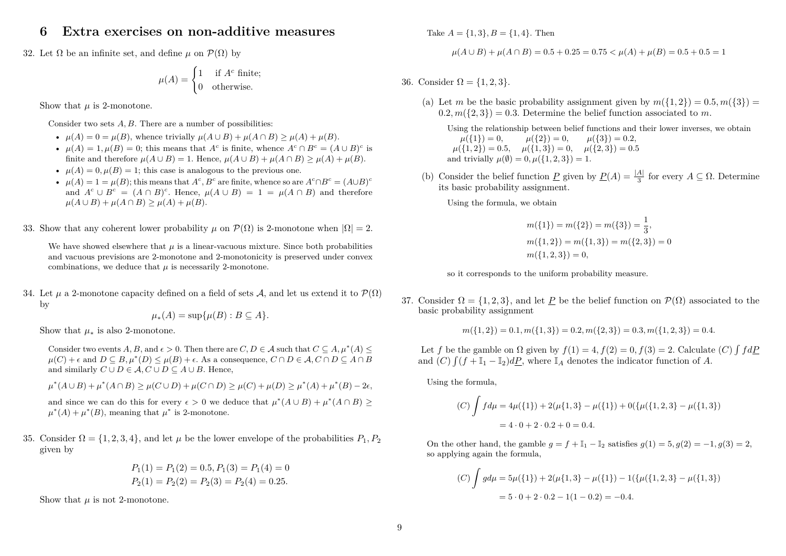### **6 Extra exercises on non-additive measures**

32. Let  $\Omega$  be an infinite set, and define  $\mu$  on  $\mathcal{P}(\Omega)$  by

$$
\mu(A) = \begin{cases} 1 & \text{if } A^c \text{ finite;} \\ 0 & \text{otherwise.} \end{cases}
$$

Show that  $\mu$  is 2-monotone.

Consider two sets A, B. There are a number of possibilities:

- $\mu(A) = 0 = \mu(B)$ , whence trivially  $\mu(A \cup B) + \mu(A \cap B) \geq \mu(A) + \mu(B)$ .
- $\mu(A) = 1, \mu(B) = 0$ ; this means that *A<sup>c</sup>* is finite, whence  $A^c \cap B^c = (A \cup B)^c$  is finite and therefore  $\mu(A \cup B) = 1$ . Hence,  $\mu(A \cup B) + \mu(A \cap B) > \mu(A) + \mu(B)$ .
- $\mu(A) = 0, \mu(B) = 1$ ; this case is analogous to the previous one.
- $\mu(A) = 1 = \mu(B)$ ; this means that  $A^c, B^c$  are finite, whence so are  $A^c \cap B^c = (A \cup B)^c$ and  $A^c \cup B^c = (A \cap B)^c$ . Hence,  $\mu(A \cup B) = 1 = \mu(A \cap B)$  and therefore  $\mu(A \cup B) + \mu(A \cap B) > \mu(A) + \mu(B).$
- 33. Show that any coherent lower probability *µ* on  $\mathcal{P}(\Omega)$  is 2-monotone when  $|\Omega| = 2$ .

We have showed elsewhere that  $\mu$  is a linear-vacuous mixture. Since both probabilities and vacuous previsions are 2-monotone and 2-monotonicity is preserved under convex combinations, we deduce that  $\mu$  is necessarily 2-monotone.

34. Let  $\mu$  a 2-monotone capacity defined on a field of sets A, and let us extend it to  $\mathcal{P}(\Omega)$ by

$$
\mu_*(A) = \sup \{ \mu(B) : B \subseteq A \}.
$$

Show that  $\mu_*$  is also 2-monotone.

Consider two events *A*, *B*, and  $\epsilon > 0$ . Then there are *C*, *D*  $\in$  *A* such that  $C \subseteq A$ ,  $\mu^*(A) \le$  $\mu(C) + \epsilon$  and  $D \subseteq B, \mu^*(D) \leq \mu(B) + \epsilon$ . As a consequence,  $C \cap D \in \mathcal{A}, C \cap D \subseteq A \cap B$ and similarly  $C \cup D \in \mathcal{A}, C \cup D \subseteq A \cup B$ . Hence,

 $\mu^*(A \cup B) + \mu^*(A \cap B) \ge \mu(C \cup D) + \mu(C \cap D) \ge \mu(C) + \mu(D) \ge \mu^*(A) + \mu^*(B) - 2\epsilon,$ 

and since we can do this for every  $\epsilon > 0$  we deduce that  $\mu^*(A \cup B) + \mu^*(A \cap B) \ge$  $\mu^*(A) + \mu^*(B)$ , meaning that  $\mu^*$  is 2-monotone.

35. Consider  $\Omega = \{1, 2, 3, 4\}$ , and let  $\mu$  be the lower envelope of the probabilities  $P_1, P_2$ given by

$$
P_1(1) = P_1(2) = 0.5, P_1(3) = P_1(4) = 0
$$
  

$$
P_2(1) = P_2(2) = P_2(3) = P_2(4) = 0.25.
$$

Show that  $\mu$  is not 2-monotone.

Take  $A = \{1, 3\}, B = \{1, 4\}.$  Then

$$
\mu(A \cup B) + \mu(A \cap B) = 0.5 + 0.25 = 0.75 < \mu(A) + \mu(B) = 0.5 + 0.5 = 1
$$

36. Consider  $\Omega = \{1, 2, 3\}.$ 

(a) Let *m* be the basic probability assignment given by  $m({1, 2}) = 0.5, m({3}) =$  $(0.2, m({2, 3}) = 0.3$ . Determine the belief function associated to *m*.

Using the relationship between belief functions and their lower inverses, we obtain  $\mu({1}) = 0, \qquad \mu({2}) = 0, \qquad \mu({3}) = 0.2,$  $\mu({1, 2}) = 0.5, \quad \mu({1, 3}) = 0, \quad \mu({2, 3}) = 0.5$ and trivially  $\mu(\emptyset) = 0, \mu(\{1, 2, 3\}) = 1.$ 

(b) Consider the belief function  $\underline{P}$  given by  $\underline{P}(A) = \frac{|A|}{3}$  for every  $A \subseteq \Omega$ . Determine its basic probability assignment.

Using the formula, we obtain

$$
m({1}) = m({2}) = m({3}) = \frac{1}{3},
$$
  
\n
$$
m({1, 2}) = m({1, 3}) = m({2, 3}) = 0
$$
  
\n
$$
m({1, 2, 3}) = 0,
$$

so it corresponds to the uniform probability measure.

37. Consider  $\Omega = \{1, 2, 3\}$ , and let P be the belief function on  $\mathcal{P}(\Omega)$  associated to the basic probability assignment

$$
m({1, 2}) = 0.1, m({1, 3}) = 0.2, m({2, 3}) = 0.3, m({1, 2, 3}) = 0.4.
$$

Let *f* be the gamble on  $\Omega$  given by  $f(1) = 4$ ,  $f(2) = 0$ ,  $f(3) = 2$ . Calculate (*C*)  $\int f d\underline{P}$ and  $(C)$   $\int (f + \mathbb{I}_1 - \mathbb{I}_2) dP$ , where  $\mathbb{I}_A$  denotes the indicator function of *A*.

Using the formula,

(C) 
$$
\int f d\mu = 4\mu({1}) + 2(\mu{1,3}) - \mu({1}) + 0({\mu({1,2,3}) - \mu({1,3})})
$$
  
=  $4 \cdot 0 + 2 \cdot 0.2 + 0 = 0.4$ .

On the other hand, the gamble  $q = f + \mathbb{I}_1 - \mathbb{I}_2$  satisfies  $q(1) = 5$ ,  $q(2) = -1$ ,  $q(3) = 2$ , so applying again the formula,

(C) 
$$
\int g d\mu = 5\mu({1}) + 2(\mu{1,3} - \mu({1}) - 1({\mu({1,2,3}) - \mu({1,3})})
$$

$$
= 5 \cdot 0 + 2 \cdot 0.2 - 1(1 - 0.2) = -0.4.
$$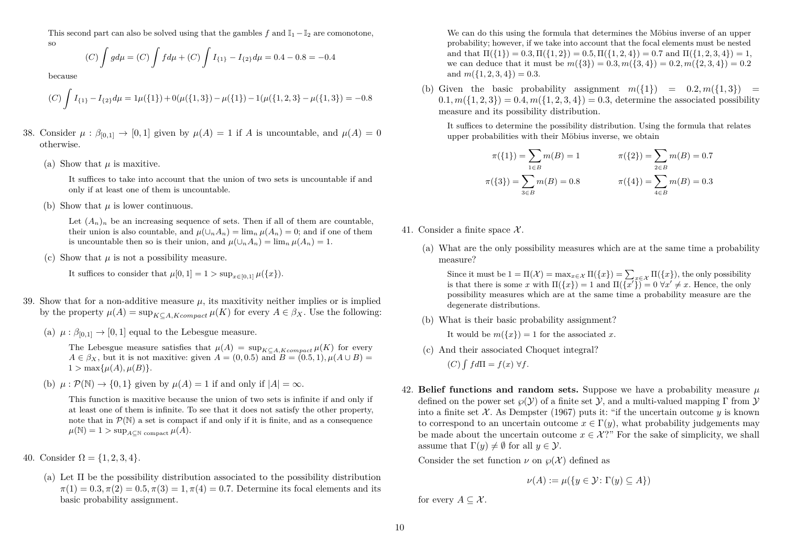This second part can also be solved using that the gambles *f* and  $\mathbb{I}_1 - \mathbb{I}_2$  are comonotone,

$$
_{\rm SO}
$$

$$
(C)\int g d\mu = (C)\int f d\mu + (C)\int I_{\{1\}} - I_{\{2\}} d\mu = 0.4 - 0.8 = -0.4
$$

because

$$
(C)\int I_{\{1\}} - I_{\{2\}}d\mu = 1\mu(\{1\}) + 0(\mu(\{1,3\}) - \mu(\{1\}) - 1(\mu(\{1,2,3\}) - \mu(\{1,3\})) = -0.8
$$

- 38. Consider  $\mu : \beta_{[0,1]} \to [0,1]$  given by  $\mu(A) = 1$  if *A* is uncountable, and  $\mu(A) = 0$ otherwise.
	- (a) Show that *µ* is maxitive.

It suffices to take into account that the union of two sets is uncountable if and only if at least one of them is uncountable.

(b) Show that *µ* is lower continuous.

Let  $(A_n)_n$  be an increasing sequence of sets. Then if all of them are countable, their union is also countable, and  $\mu(\cup_n A_n) = \lim_n \mu(A_n) = 0$ ; and if one of them is uncountable then so is their union, and  $\mu(\cup_n A_n) = \lim_n \mu(A_n) = 1$ .

(c) Show that  $\mu$  is not a possibility measure.

It suffices to consider that  $\mu[0,1] = 1 > \sup_{x \in [0,1]} \mu({x}).$ 

- 39. Show that for a non-additive measure  $\mu$ , its maxitivity neither implies or is implied by the property  $\mu(A) = \sup_{K \subset A, K \text{ compact}} \mu(K)$  for every  $A \in \beta_X$ . Use the following:
	- (a)  $\mu : \beta_{[0,1]} \to [0,1]$  equal to the Lebesgue measure.

The Lebesgue measure satisfies that  $\mu(A) = \sup_{K \subset A, K \text{ compact}} \mu(K)$  for every  $A \in \beta_X$ , but it is not maxitive: given  $A = (0, 0.5)$  and  $B = (0.5, 1)$ ,  $\mu(A \cup B) =$  $1 > \max\{\mu(A), \mu(B)\}.$ 

(b)  $\mu : \mathcal{P}(\mathbb{N}) \to \{0,1\}$  given by  $\mu(A) = 1$  if and only if  $|A| = \infty$ .

This function is maxitive because the union of two sets is infinite if and only if at least one of them is infinite. To see that it does not satisfy the other property, note that in  $\mathcal{P}(\mathbb{N})$  a set is compact if and only if it is finite, and as a consequence  $\mu(\mathbb{N}) = 1 > \sup_{A \subset \mathbb{N}} \text{ compact } \mu(A).$ 

- 40. Consider  $\Omega = \{1, 2, 3, 4\}.$ 
	- (a) Let Π be the possibility distribution associated to the possibility distribution  $\pi(1) = 0.3, \pi(2) = 0.5, \pi(3) = 1, \pi(4) = 0.7$ . Determine its focal elements and its basic probability assignment.

We can do this using the formula that determines the Möbius inverse of an upper probability; however, if we take into account that the focal elements must be nested and that  $\Pi({1}) = 0.3$ ,  $\Pi({1, 2}) = 0.5$ ,  $\Pi({1, 2, 4}) = 0.7$  and  $\Pi({1, 2, 3, 4}) = 1$ , we can deduce that it must be  $m({3}) = 0.3, m({3, 4}) = 0.2, m({2, 3, 4}) = 0.2$ and  $m({1, 2, 3, 4}) = 0.3$ .

(b) Given the basic probability assignment  $m({1}) = 0.2, m({1.3}) = 0$  $(0.1, m({1, 2, 3}) = 0.4, m({1, 2, 3, 4}) = 0.3$ , determine the associated possibility measure and its possibility distribution.

It suffices to determine the possibility distribution. Using the formula that relates upper probabilities with their Möbius inverse, we obtain

$$
\pi({1}) = \sum_{1 \in B} m(B) = 1 \qquad \pi({2}) = \sum_{2 \in B} m(B) = 0.7
$$
  

$$
\pi({3}) = \sum_{3 \in B} m(B) = 0.8 \qquad \pi({4}) = \sum_{4 \in B} m(B) = 0.3
$$

- 41. Consider a finite space  $\mathcal{X}$ .
	- (a) What are the only possibility measures which are at the same time a probability measure?

Since it must be  $1 = \Pi(\mathcal{X}) = \max_{x \in \mathcal{X}} \Pi(\{x\}) = \sum_{x \in \mathcal{X}} \Pi(\{x\})$ , the only possibility is that there is some *x* with  $\Pi({x}) = 1$  and  $\Pi({\overline{x'}}) = 0 \,\forall x' \neq x$ . Hence, the only possibility measures which are at the same time a probability measure are the degenerate distributions.

(b) What is their basic probability assignment?

It would be  $m({x}) = 1$  for the associated *x*.

- (c) And their associated Choquet integral?
	- $(C)$   $\int f d\Pi = f(x) \ \forall f.$
- 42. **Belief functions and random sets.** Suppose we have a probability measure *µ* defined on the power set  $\mathcal{O}(\mathcal{Y})$  of a finite set  $\mathcal{Y}$ , and a multi-valued mapping  $\Gamma$  from  $\mathcal{Y}$ into a finite set  $\mathcal{X}$ . As Dempster (1967) puts it: "if the uncertain outcome  $\gamma$  is known to correspond to an uncertain outcome  $x \in \Gamma(y)$ , what probability judgements may be made about the uncertain outcome  $x \in \mathcal{X}$ ?" For the sake of simplicity, we shall assume that  $\Gamma(y) \neq \emptyset$  for all  $y \in \mathcal{Y}$ .

Consider the set function  $\nu$  on  $\varphi(\mathcal{X})$  defined as

$$
\nu(A) := \mu(\{y \in \mathcal{Y} \colon \Gamma(y) \subseteq A\})
$$

for every  $A \subseteq \mathcal{X}$ .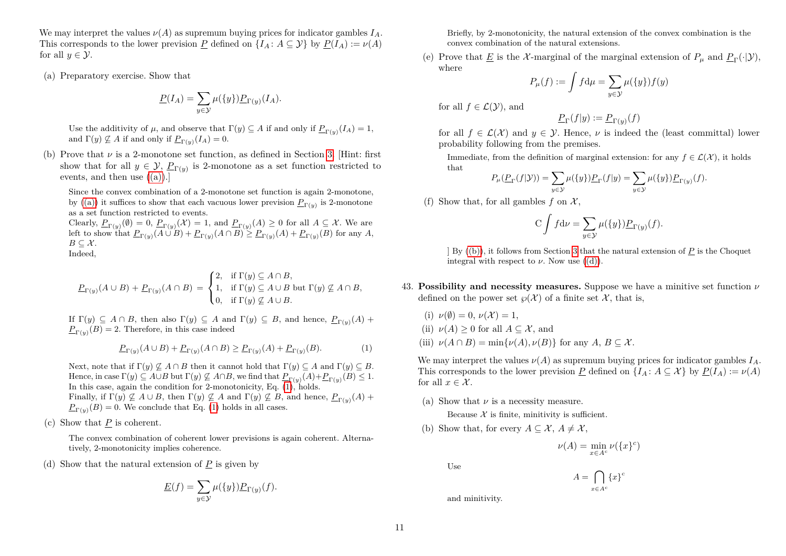We may interpret the values  $\nu(A)$  as supremum buying prices for indicator gambles  $I_A$ . This corresponds to the lower prevision *P* defined on  $\{I_A: A \subseteq \mathcal{Y}\}\$  by  $P(I_A) := \nu(A)$ for all  $y \in \mathcal{Y}$ .

<span id="page-10-0"></span>(a) Preparatory exercise. Show that

$$
\underline{P}(I_A) = \sum_{y \in \mathcal{Y}} \mu(\{y\}) \underline{P}_{\Gamma(y)}(I_A).
$$

Use the additivity of  $\mu$ , and observe that  $\Gamma(y) \subseteq A$  if and only if  $\underline{P}_{\Gamma(y)}(I_A) = 1$ , and  $\Gamma(y) \not\subseteq A$  if and only if  $\underline{P}_{\Gamma(y)}(I_A) = 0.$ 

<span id="page-10-2"></span>(b) Prove that  $\nu$  is a 2-monotone set function, as defined in Section [3.](#page-4-1) [Hint: first] show that for all  $y \in \mathcal{Y}$ ,  $\underline{P}_{\Gamma(y)}$  is 2-monotone as a set function restricted to events, and then use  $((a))$ .

Since the convex combination of a 2-monotone set function is again 2-monotone, by [\(\(a\)\)](#page-10-0) it suffices to show that each vacuous lower prevision  $P_{\Gamma(y)}$  is 2-monotone as a set function restricted to events.

Clearly,  $P_{\Gamma(y)}(\emptyset) = 0$ ,  $P_{\Gamma(y)}(\mathcal{X}) = 1$ , and  $P_{\Gamma(y)}(A) \geq 0$  for all  $A \subseteq \mathcal{X}$ . We are left to show that  $\underline{P}_{\Gamma(y)}(A \cup B) + \underline{P}_{\Gamma(y)}(A \cap B) \ge \underline{P}_{\Gamma(y)}(A) + \underline{P}_{\Gamma(y)}(B)$  for any A,  $B \subseteq \mathcal{X}$ . Indeed,

$$
\underline{P}_{\Gamma(y)}(A \cup B) + \underline{P}_{\Gamma(y)}(A \cap B) = \begin{cases} 2, & \text{if } \Gamma(y) \subseteq A \cap B, \\ 1, & \text{if } \Gamma(y) \subseteq A \cup B \text{ but } \Gamma(y) \not\subseteq A \cap B, \\ 0, & \text{if } \Gamma(y) \not\subseteq A \cup B. \end{cases}
$$

If  $\Gamma(y) \subseteq A \cap B$ , then also  $\Gamma(y) \subseteq A$  and  $\Gamma(y) \subseteq B$ , and hence,  $\underline{P}_{\Gamma(y)}(A)$  +  $\underline{P}_{\Gamma(y)}(B) = 2.$  Therefore, in this case indeed

<span id="page-10-1"></span>
$$
\underline{P}_{\Gamma(y)}(A \cup B) + \underline{P}_{\Gamma(y)}(A \cap B) \ge \underline{P}_{\Gamma(y)}(A) + \underline{P}_{\Gamma(y)}(B). \tag{1}
$$

Next, note that if  $\Gamma(y) \nsubseteq A \cap B$  then it cannot hold that  $\Gamma(y) \subseteq A$  and  $\Gamma(y) \subseteq B$ . Hence, in case  $\Gamma(y) \subseteq A \cup B$  but  $\Gamma(y) \not\subseteq A \cap B$ , we find that  $\underline{P}_{\Gamma(y)}(A) + \underline{P}_{\Gamma(y)}(B) \leq 1$ . In this case, again the condition for 2-monotonicity, Eq.  $(1)$ , holds. Finally, if  $\Gamma(y) \not\subseteq A \cup B$ , then  $\Gamma(y) \not\subseteq A$  and  $\Gamma(y) \not\subseteq B$ , and hence,  $\underline{P}_{\Gamma(y)}(A)$  +  $P_{\Gamma(y)}(B) = 0$ . We conclude that Eq. [\(1\)](#page-10-1) holds in all cases.

(c) Show that *P* is coherent.

The convex combination of coherent lower previsions is again coherent. Alternatively, 2-monotonicity implies coherence.

<span id="page-10-3"></span>(d) Show that the natural extension of *P* is given by

$$
\underline{E}(f) = \sum_{y \in \mathcal{Y}} \mu(\{y\}) \underline{P}_{\Gamma(y)}(f).
$$

Briefly, by 2-monotonicity, the natural extension of the convex combination is the convex combination of the natural extensions.

(e) Prove that <u>E</u> is the X-marginal of the marginal extension of  $P_{\mu}$  and  $P_{\Gamma}(\cdot|\mathcal{Y}),$ where

$$
P_{\mu}(f) := \int f d\mu = \sum_{y \in \mathcal{Y}} \mu(\{y\}) f(y)
$$

for all  $f \in \mathcal{L}(\mathcal{Y})$ , and

$$
\underline{P}_{\Gamma}(f|y) := \underline{P}_{\Gamma(y)}(f)
$$

for all  $f \in \mathcal{L}(\mathcal{X})$  and  $y \in \mathcal{Y}$ . Hence,  $\nu$  is indeed the (least committal) lower probability following from the premises.

Immediate, from the definition of marginal extension: for any  $f \in \mathcal{L}(\mathcal{X})$ , it holds that

$$
P_{\mu}(\underline{P}_{\Gamma}(f|\mathcal{Y})) = \sum_{y \in \mathcal{Y}} \mu(\{y\}) \underline{P}_{\Gamma}(f|y) = \sum_{y \in \mathcal{Y}} \mu(\{y\}) \underline{P}_{\Gamma(y)}(f).
$$

(f) Show that, for all gambles  $f$  on  $\mathcal{X}$ ,

$$
C \int f d\nu = \sum_{y \in \mathcal{Y}} \mu(\{y\}) \underline{P}_{\Gamma(y)}(f).
$$

] By [\(\(b\)\)](#page-10-2), it follows from Section [3](#page-4-1) that the natural extension of *P* is the Choquet integral with respect to  $\nu$ . Now use  $((d))$ .

- 43. **Possibility and necessity measures.** Suppose we have a minitive set function *ν* defined on the power set  $\wp(\mathcal{X})$  of a finite set  $\mathcal{X}$ , that is,
	- (i)  $\nu(\emptyset) = 0, \nu(\mathcal{X}) = 1,$ (ii)  $\nu(A) \geq 0$  for all  $A \subseteq \mathcal{X}$ , and (iii)  $\nu(A \cap B) = \min\{\nu(A), \nu(B)\}\$ for any  $A, B \subseteq \mathcal{X}$ .

We may interpret the values  $\nu(A)$  as supremum buying prices for indicator gambles  $I_A$ . This corresponds to the lower prevision *P* defined on  $\{I_A : A \subseteq \mathcal{X}\}\$  by  $P(I_A) := \nu(A)$ for all  $x \in \mathcal{X}$ .

(a) Show that *ν* is a necessity measure.

Because  $\mathcal X$  is finite, minitivity is sufficient.

(b) Show that, for every  $A \subseteq \mathcal{X}, A \neq \mathcal{X}$ ,

$$
\nu(A) = \min_{x \in A^c} \nu(\{x\}^c)
$$

Use

 $A = \bigcap \{x\}^c$ *x*∈*Ac*

and minitivity.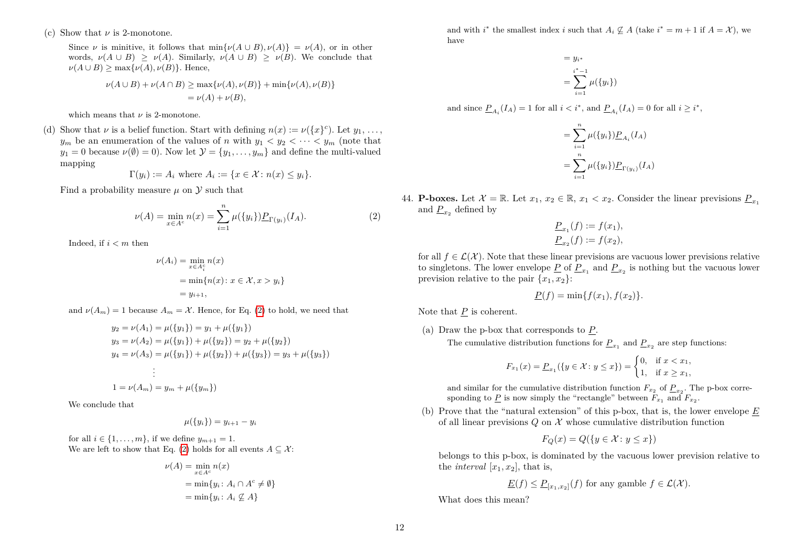(c) Show that *ν* is 2-monotone.

Since  $\nu$  is minitive, it follows that  $\min{\{\nu(A \cup B), \nu(A)\}} = \nu(A)$ , or in other words,  $\nu(A \cup B) \ge \nu(A)$ . Similarly,  $\nu(A \cup B) \ge \nu(B)$ . We conclude that  $\nu(A \cup B)$  > max $\{\nu(A), \nu(B)\}\$ . Hence,

$$
\nu(A \cup B) + \nu(A \cap B) \ge \max{\nu(A), \nu(B)} + \min{\nu(A), \nu(B)}
$$
  
=  $\nu(A) + \nu(B)$ ,

which means that  $\nu$  is 2-monotone.

(d) Show that *ν* is a belief function. Start with defining  $n(x) := \nu({x}^c)$ . Let  $y_1, \ldots,$ *y<sub>m</sub>* be an enumeration of the values of *n* with  $y_1 < y_2 < \cdots < y_m$  (note that  $y_1 = 0$  because  $\nu(\emptyset) = 0$ . Now let  $\mathcal{Y} = \{y_1, \ldots, y_m\}$  and define the multi-valued mapping

$$
\Gamma(y_i) := A_i \text{ where } A_i := \{ x \in \mathcal{X} \colon n(x) \le y_i \}.
$$

Find a probability measure  $\mu$  on  $\mathcal Y$  such that

<span id="page-11-0"></span>
$$
\nu(A) = \min_{x \in A^c} n(x) = \sum_{i=1}^n \mu(\{y_i\}) \underline{P}_{\Gamma(y_i)}(I_A). \tag{2}
$$

Indeed, if *i < m* then

$$
\nu(A_i) = \min_{x \in A_i^c} n(x)
$$
  
= 
$$
\min\{n(x) : x \in \mathcal{X}, x > y_i\}
$$
  
= 
$$
y_{i+1},
$$

and  $\nu(A_m) = 1$  because  $A_m = \mathcal{X}$ . Hence, for Eq. [\(2\)](#page-11-0) to hold, we need that

$$
y_2 = \nu(A_1) = \mu({y_1}) = y_1 + \mu({y_1})
$$
  
\n
$$
y_3 = \nu(A_2) = \mu({y_1}) + \mu({y_2}) = y_2 + \mu({y_2})
$$
  
\n
$$
y_4 = \nu(A_3) = \mu({y_1}) + \mu({y_2}) + \mu({y_3}) = y_3 + \mu({y_3})
$$
  
\n
$$
\vdots
$$
  
\n
$$
1 = \nu(A_m) = y_m + \mu({y_m})
$$

We conclude that

$$
\mu(\{y_i\})=y_{i+1}-y_i
$$

for all  $i \in \{1, ..., m\}$ , if we define  $y_{m+1} = 1$ . We are left to show that Eq. [\(2\)](#page-11-0) holds for all events  $A \subseteq \mathcal{X}$ :

$$
\nu(A) = \min_{x \in A^c} n(x)
$$
  
= 
$$
\min\{y_i : A_i \cap A^c \neq \emptyset\}
$$
  
= 
$$
\min\{y_i : A_i \nsubseteq A\}
$$

and with  $i^*$  the smallest index *i* such that  $A_i \nsubseteq A$  (take  $i^* = m + 1$  if  $A = X$ ), we have

$$
= y_{i^*}
$$
  
= 
$$
\sum_{i=1}^{i^*-1} \mu({y_i})
$$

and since  $\underline{P}_{A_i}(I_A) = 1$  for all  $i < i^*$ , and  $\underline{P}_{A_i}(I_A) = 0$  for all  $i \geq i^*$ ,

$$
= \sum_{i=1}^{n} \mu({y_i}) \underline{P}_{A_i}(I_A)
$$
  
= 
$$
\sum_{i=1}^{n} \mu({y_i}) \underline{P}_{\Gamma(y_i)}(I_A)
$$

44. **P-boxes.** Let  $\mathcal{X} = \mathbb{R}$ . Let  $x_1, x_2 \in \mathbb{R}$ ,  $x_1 < x_2$ . Consider the linear previsions  $P_{x_1}$ and  $P_{x_2}$  defined by

$$
\underline{P}_{x_1}(f) := f(x_1), \underline{P}_{x_2}(f) := f(x_2),
$$

for all  $f \in \mathcal{L}(\mathcal{X})$ . Note that these linear previsions are vacuous lower previsions relative to singletons. The lower envelope  $\underline{P}$  of  $\underline{P}_{x_1}$  and  $\underline{P}_{x_2}$  is nothing but the vacuous lower prevision relative to the pair  $\{x_1, x_2\}$ :

$$
\underline{P}(f) = \min\{f(x_1), f(x_2)\}.
$$

Note that *P* is coherent.

(a) Draw the p-box that corresponds to *P*.

The cumulative distribution functions for  $\underline{P}_{x_1}$  and  $\underline{P}_{x_2}$  are step functions:

$$
F_{x_1}(x) = \underline{P}_{x_1}(\{y \in \mathcal{X} : y \leq x\}) = \begin{cases} 0, & \text{if } x < x_1, \\ 1, & \text{if } x \geq x_1, \end{cases}
$$

and similar for the cumulative distribution function  $F_{x_2}$  of  $P_{x_2}$ . The p-box corresponding to  $\underline{P}$  is now simply the "rectangle" between  $F_{x_1}$  and  $F_{x_2}$ .

(b) Prove that the "natural extension" of this p-box, that is, the lower envelope *E* of all linear previsions  $Q$  on  $X$  whose cumulative distribution function

$$
F_Q(x) = Q(\{y \in \mathcal{X} : y \le x\})
$$

belongs to this p-box, is dominated by the vacuous lower prevision relative to the *interval*  $[x_1, x_2]$ , that is,

$$
\underline{E}(f) \le \underline{P}_{[x_1, x_2]}(f)
$$
 for any gamble  $f \in \mathcal{L}(\mathcal{X})$ .

What does this mean?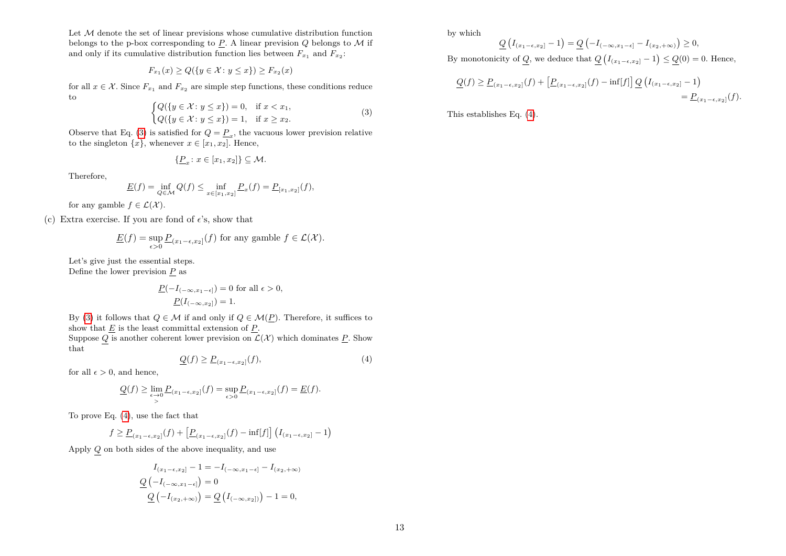Let  $M$  denote the set of linear previsions whose cumulative distribution function belongs to the p-box corresponding to  $P$ . A linear prevision  $Q$  belongs to  $M$  if and only if its cumulative distribution function lies between  $F_{x_1}$  and  $F_{x_2}$ :

$$
F_{x_1}(x) \ge Q(\{y \in \mathcal{X} : y \le x\}) \ge F_{x_2}(x)
$$

for all  $x \in \mathcal{X}$ . Since  $F_{x_1}$  and  $F_{x_2}$  are simple step functions, these conditions reduce to

<span id="page-12-0"></span>
$$
\begin{cases} Q(\{y \in \mathcal{X} : y \leq x\}) = 0, & \text{if } x < x_1, \\ Q(\{y \in \mathcal{X} : y \leq x\}) = 1, & \text{if } x \geq x_2. \end{cases} \tag{3}
$$

Observe that Eq. [\(3\)](#page-12-0) is satisfied for  $Q = \underline{P}_x$ , the vacuous lower prevision relative to the singleton  $\{x\}$ , whenever  $x \in [x_1, x_2]$ . Hence,

$$
\{\underline{P}_x \colon x \in [x_1, x_2]\} \subseteq \mathcal{M}.
$$

Therefore,

$$
\underline{E}(f) = \inf_{Q \in \mathcal{M}} Q(f) \le \inf_{x \in [x_1, x_2]} \underline{P}_x(f) = \underline{P}_{[x_1, x_2]}(f),
$$

for any gamble  $f \in \mathcal{L}(\mathcal{X})$ .

(c) Extra exercise. If you are fond of  $\epsilon$ 's, show that

$$
\underline{E}(f) = \sup_{\epsilon > 0} \underline{P}_{(x_1 - \epsilon, x_2]}(f)
$$
 for any gamble  $f \in \mathcal{L}(\mathcal{X})$ .

Let's give just the essential steps. Define the lower prevision  $\underline{P}$  as

$$
\underline{P}(-I_{(-\infty,x_1-\epsilon]})=0
$$
 for all  $\epsilon > 0$ ,  

$$
\underline{P}(I_{(-\infty,x_2]})=1.
$$

By [\(3\)](#page-12-0) it follows that  $Q \in \mathcal{M}$  if and only if  $Q \in \mathcal{M}(P)$ . Therefore, it suffices to show that  $E$  is the least committal extension of  $P$ .

Suppose *Q* is another coherent lower prevision on  $\mathcal{L}(\mathcal{X})$  which dominates <u>*P*</u>. Show that

<span id="page-12-1"></span>
$$
\underline{Q}(f) \ge \underline{P}_{(x_1 - \epsilon, x_2]}(f),\tag{4}
$$

for all  $\epsilon > 0$ , and hence,

$$
\mathcal{Q}(f) \geq \lim_{\substack{\epsilon \to 0 \\ >}} \mathcal{P}_{(x_1 - \epsilon, x_2]}(f) = \sup_{\epsilon > 0} \mathcal{P}_{(x_1 - \epsilon, x_2]}(f) = \underline{E}(f).
$$

To prove Eq. [\(4\)](#page-12-1), use the fact that

$$
f \geq \underline{P}_{(x_1-\epsilon,x_2]}(f) + \left[\underline{P}_{(x_1-\epsilon,x_2]}(f) - \inf[f]\right] \left(I_{(x_1-\epsilon,x_2]} - 1\right)
$$

Apply *Q* on both sides of the above inequality, and use

$$
I_{(x_1-\epsilon,x_2]}-1=-I_{(-\infty,x_1-\epsilon]}-I_{(x_2,+\infty)}
$$

$$
\underline{Q}\left(-I_{(-\infty,x_1-\epsilon]}\right)=0
$$

$$
\underline{Q}\left(-I_{(x_2,+\infty)}\right)=\underline{Q}\left(I_{(-\infty,x_2]}\right)-1=0,
$$

by which

$$
\underline{Q}\left(I_{(x_1-\epsilon,x_2]}-1\right) = \underline{Q}\left(-I_{(-\infty,x_1-\epsilon]}-I_{(x_2,+\infty)}\right) \ge 0,
$$
  
By monotonicity of  $\underline{Q}$ , we deduce that  $\underline{Q}\left(I_{(x_1-\epsilon,x_2]}-1\right) \le \underline{Q}(0) = 0$ . Hence,

$$
\underline{Q}(f) \ge \underline{P}_{(x_1-\epsilon,x_2]}(f) + \left[\underline{P}_{(x_1-\epsilon,x_2]}(f) - \inf[f]\right] \underline{Q}\left(I_{(x_1-\epsilon,x_2]}-1\right) = \underline{P}_{(x_1-\epsilon,x_2]}(f).
$$

This establishes Eq. [\(4\)](#page-12-1).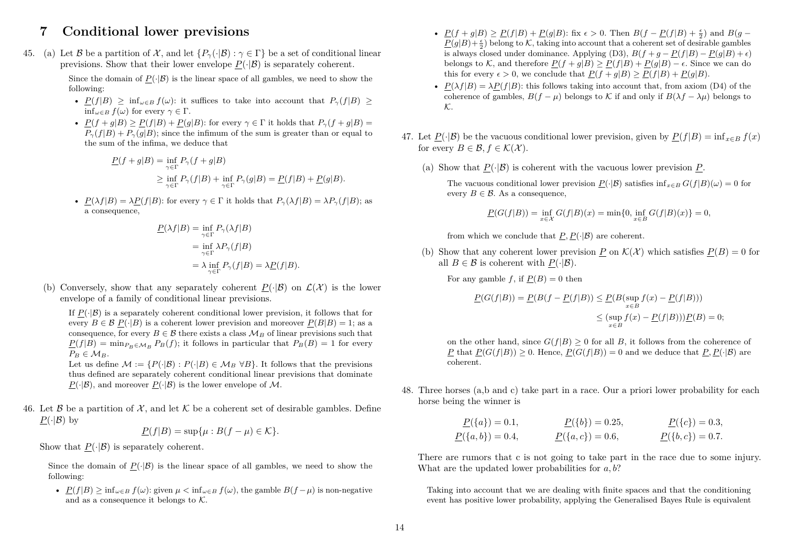## **7 Conditional lower previsions**

45. (a) Let B be a partition of X, and let  $\{P_\gamma(\cdot|\mathcal{B}) : \gamma \in \Gamma\}$  be a set of conditional linear previsions. Show that their lower envelope  $P(\cdot|\mathcal{B})$  is separately coherent.

> Since the domain of  $P(\cdot|\mathcal{B})$  is the linear space of all gambles, we need to show the following:

- $P(f|B) \ge \inf_{\omega \in B} f(\omega)$ : it suffices to take into account that  $P_\gamma(f|B) \ge$  $\inf_{\omega \in B} f(\omega)$  for every  $\gamma \in \Gamma$ .
- $P(f + g|B) \ge P(f|B) + P(g|B)$ : for every  $\gamma \in \Gamma$  it holds that  $P_{\gamma}(f + g|B) =$  $P_{\gamma}(f|B) + P_{\gamma}(g|B)$ ; since the infimum of the sum is greater than or equal to the sum of the infima, we deduce that

$$
\underline{P}(f+g|B) = \inf_{\gamma \in \Gamma} P_{\gamma}(f+g|B)
$$
  
\n
$$
\geq \inf_{\gamma \in \Gamma} P_{\gamma}(f|B) + \inf_{\gamma \in \Gamma} P_{\gamma}(g|B) = \underline{P}(f|B) + \underline{P}(g|B).
$$

•  $P(\lambda f|B) = \lambda P(f|B)$ : for every  $\gamma \in \Gamma$  it holds that  $P_{\gamma}(\lambda f|B) = \lambda P_{\gamma}(f|B)$ ; as a consequence,

$$
\underline{P}(\lambda f|B) = \inf_{\gamma \in \Gamma} P_{\gamma}(\lambda f|B)
$$
  
= 
$$
\inf_{\gamma \in \Gamma} \lambda P_{\gamma}(f|B)
$$
  
= 
$$
\lambda \inf_{\gamma \in \Gamma} P_{\gamma}(f|B) = \lambda \underline{P}(f|B).
$$

(b) Conversely, show that any separately coherent  $P(\cdot|\mathcal{B})$  on  $\mathcal{L}(\mathcal{X})$  is the lower envelope of a family of conditional linear previsions.

If  $P(|\mathcal{B})$  is a separately coherent conditional lower prevision, it follows that for every  $B \in \mathcal{B}$   $P(\cdot|B)$  is a coherent lower prevision and moreover  $P(B|B) = 1$ ; as a consequence, for every  $B \in \mathcal{B}$  there exists a class  $\mathcal{M}_B$  of linear previsions such that  $P(f|B) = \min_{P_B \in M_B} P_B(f)$ ; it follows in particular that  $P_B(B) = 1$  for every  $P_B \in M_B$ . Let us define  $\mathcal{M} := \{P(\cdot|\mathcal{B}) : P(\cdot|B) \in \mathcal{M}_B \,\forall B\}$ . It follows that the previsions

thus defined are separately coherent conditional linear previsions that dominate  $P(\cdot|\mathcal{B})$ , and moreover  $P(\cdot|\mathcal{B})$  is the lower envelope of M.

46. Let B be a partition of  $\mathcal{X}$ , and let K be a coherent set of desirable gambles. Define  $P(\cdot|\mathcal{B})$  by

$$
\underline{P}(f|B) = \sup\{\mu : B(f - \mu) \in \mathcal{K}\}.
$$

Show that  $P(\cdot|\mathcal{B})$  is separately coherent.

Since the domain of  $P(\cdot|\mathcal{B})$  is the linear space of all gambles, we need to show the following:

•  $P(f|B) > \inf_{\omega \in B} f(\omega)$ : given  $\mu < \inf_{\omega \in B} f(\omega)$ , the gamble  $B(f - \mu)$  is non-negative and as a consequence it belongs to  $K$ .

- $\underline{P}(f+g|B) \ge \underline{P}(f|B) + \underline{P}(g|B)$ : fix  $\epsilon > 0$ . Then  $B(f \underline{P}(f|B) + \frac{\epsilon}{2})$  and  $B(g \underline{P}(g|B)+\frac{\epsilon}{2}$ ) belong to K, taking into account that a coherent set of desirable gambles is always closed under dominance. Applying (D3),  $B(f + q - P(f|B) - P(q|B) + \epsilon)$ belongs to K, and therefore  $P(f + g|B) \ge P(f|B) + P(g|B) - \epsilon$ . Since we can do this for every  $\epsilon > 0$ , we conclude that  $P(f + g|B) \geq P(f|B) + P(g|B)$ .
- $P(\lambda f|B) = \lambda P(f|B)$ : this follows taking into account that, from axiom (D4) of the coherence of gambles,  $B(f - \mu)$  belongs to K if and only if  $B(\lambda f - \lambda \mu)$  belongs to  $K_{\cdot}$
- 47. Let  $P(\cdot|\mathcal{B})$  be the vacuous conditional lower prevision, given by  $P(f|B) = \inf_{x \in B} f(x)$ for every  $B \in \mathcal{B}, f \in \mathcal{K}(\mathcal{X})$ .
	- (a) Show that  $P(\cdot|\mathcal{B})$  is coherent with the vacuous lower prevision P.

The vacuous conditional lower prevision  $P(\cdot|\mathcal{B})$  satisfies  $\inf_{x \in B} G(f|B)(\omega) = 0$  for every  $B \in \mathcal{B}$ . As a consequence,

$$
\underline{P}(G(f|B)) = \inf_{x \in \mathcal{X}} G(f|B)(x) = \min\{0, \inf_{x \in B} G(f|B)(x)\} = 0,
$$

from which we conclude that  $P, P(\cdot|\mathcal{B})$  are coherent.

(b) Show that any coherent lower prevision *P* on  $\mathcal{K}(\mathcal{X})$  which satisfies  $P(B) = 0$  for all  $B \in \mathcal{B}$  is coherent with  $P(\cdot|\mathcal{B})$ .

For any gamble *f*, if  $P(B) = 0$  then

$$
\underline{P}(G(f|B)) = \underline{P}(B(f - \underline{P}(f|B)) \le \underline{P}(B(\sup_{x \in B} f(x) - \underline{P}(f|B)))
$$
  

$$
\le (\sup_{x \in B} f(x) - \underline{P}(f|B)))\underline{P}(B) = 0;
$$

on the other hand, since  $G(f|B) \geq 0$  for all *B*, it follows from the coherence of *P* that  $P(G(f|B)) > 0$ . Hence,  $P(G(f|B)) = 0$  and we deduce that  $P, P(\cdot|B)$  are coherent.

48. Three horses (a,b and c) take part in a race. Our a priori lower probability for each horse being the winner is

$$
\underline{P}(\{a\}) = 0.1, \qquad \underline{P}(\{b\}) = 0.25, \qquad \underline{P}(\{c\}) = 0.3, \n\underline{P}(\{a,b\}) = 0.4, \qquad \underline{P}(\{a,c\}) = 0.6, \qquad \underline{P}(\{b,c\}) = 0.7.
$$

There are rumors that c is not going to take part in the race due to some injury. What are the updated lower probabilities for *a, b*?

Taking into account that we are dealing with finite spaces and that the conditioning event has positive lower probability, applying the Generalised Bayes Rule is equivalent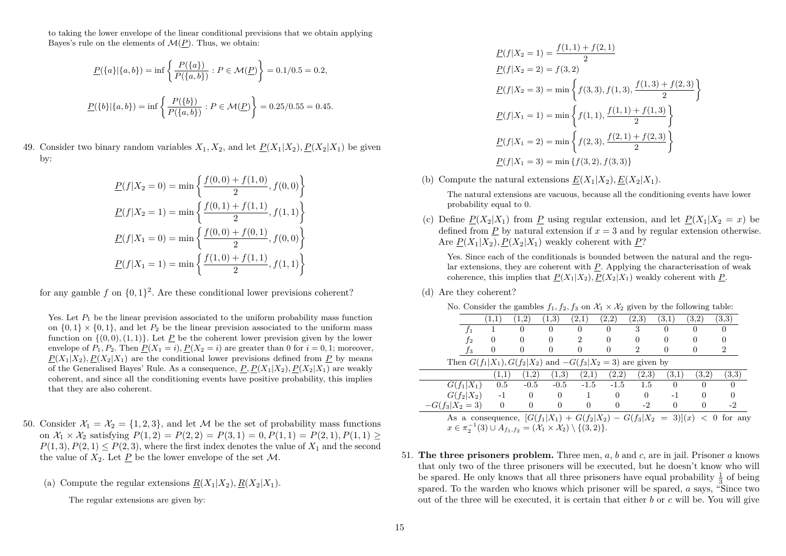to taking the lower envelope of the linear conditional previsions that we obtain applying Bayes's rule on the elements of  $\mathcal{M}(P)$ . Thus, we obtain:

$$
\underline{P}(\{a\}|\{a,b\}) = \inf \left\{ \frac{P(\{a\})}{P(\{a,b\})} : P \in \mathcal{M}(\underline{P}) \right\} = 0.1/0.5 = 0.2,
$$
  

$$
\underline{P}(\{b\}|\{a,b\}) = \inf \left\{ \frac{P(\{b\})}{P(\{a,b\})} : P \in \mathcal{M}(\underline{P}) \right\} = 0.25/0.55 = 0.45.
$$

49. Consider two binary random variables  $X_1, X_2$ , and let  $P(X_1|X_2), P(X_2|X_1)$  be given by:

$$
\underline{P}(f|X_2 = 0) = \min\left\{\frac{f(0,0) + f(1,0)}{2}, f(0,0)\right\}
$$

$$
\underline{P}(f|X_2 = 1) = \min\left\{\frac{f(0,1) + f(1,1)}{2}, f(1,1)\right\}
$$

$$
\underline{P}(f|X_1 = 0) = \min\left\{\frac{f(0,0) + f(0,1)}{2}, f(0,0)\right\}
$$

$$
\underline{P}(f|X_1 = 1) = \min\left\{\frac{f(1,0) + f(1,1)}{2}, f(1,1)\right\}
$$

for any gamble  $f$  on  $\{0,1\}^2$ . Are these conditional lower previsions coherent?

Yes. Let  $P_1$  be the linear prevision associated to the uniform probability mass function on  $\{0,1\} \times \{0,1\}$ , and let  $P_2$  be the linear prevision associated to the uniform mass function on  $\{(0,0), (1,1)\}$ . Let P be the coherent lower prevision given by the lower envelope of  $P_1, P_2$ . Then  $P(X_1 = i)$ ,  $P(X_2 = i)$  are greater than 0 for  $i = 0, 1$ ; moreover,  $P(X_1|X_2)$ ,  $P(X_2|X_1)$  are the conditional lower previsions defined from *P* by means of the Generalised Bayes' Rule. As a consequence,  $P, P(X_1|X_2), P(X_2|X_1)$  are weakly coherent, and since all the conditioning events have positive probability, this implies that they are also coherent.

- 50. Consider  $\mathcal{X}_1 = \mathcal{X}_2 = \{1, 2, 3\}$ , and let M be the set of probability mass functions on  $\mathcal{X}_1 \times \mathcal{X}_2$  satisfying  $P(1,2) = P(2,2) = P(3,1) = 0$ ,  $P(1,1) = P(2,1)$ ,  $P(1,1) >$  $P(1,3), P(2,1) \leq P(2,3)$ , where the first index denotes the value of  $X_1$  and the second the value of  $X_2$ . Let P be the lower envelope of the set M.
	- (a) Compute the regular extensions  $R(X_1|X_2), R(X_2|X_1)$ .

The regular extensions are given by:

$$
\underline{P}(f|X_2 = 1) = \frac{f(1, 1) + f(2, 1)}{2}
$$
  
\n
$$
\underline{P}(f|X_2 = 2) = f(3, 2)
$$
  
\n
$$
\underline{P}(f|X_2 = 3) = \min \left\{ f(3, 3), f(1, 3), \frac{f(1, 3) + f(2, 3)}{2} \right\}
$$
  
\n
$$
\underline{P}(f|X_1 = 1) = \min \left\{ f(1, 1), \frac{f(1, 1) + f(1, 3)}{2} \right\}
$$
  
\n
$$
\underline{P}(f|X_1 = 2) = \min \left\{ f(2, 3), \frac{f(2, 1) + f(2, 3)}{2} \right\}
$$
  
\n
$$
\underline{P}(f|X_1 = 3) = \min \{ f(3, 2), f(3, 3) \}
$$

(b) Compute the natural extensions  $E(X_1|X_2), E(X_2|X_1)$ .

The natural extensions are vacuous, because all the conditioning events have lower probability equal to 0.

(c) Define  $P(X_2|X_1)$  from *P* using regular extension, and let  $P(X_1|X_2 = x)$  be defined from *P* by natural extension if  $x = 3$  and by regular extension otherwise. Are  $P(X_1|X_2)$ ,  $P(X_2|X_1)$  weakly coherent with *P*?

Yes. Since each of the conditionals is bounded between the natural and the regular extensions, they are coherent with *P*. Applying the characterisation of weak coherence, this implies that  $P(X_1|X_2), P(X_2|X_1)$  weakly coherent with  $P$ .

(d) Are they coherent?

| No. Consider the gambles $f_1, f_2, f_3$ on $\mathcal{X}_1 \times \mathcal{X}_2$ given by the following table: |  |
|----------------------------------------------------------------------------------------------------------------|--|
|----------------------------------------------------------------------------------------------------------------|--|

|                                                                                                    | $\left[1,1\right]$ | $1.2^{\circ}$ | (1,3)  | (2,1)                       | (2,2)    | (2.3) | (3,1)            | (3,2) | (3.3) |
|----------------------------------------------------------------------------------------------------|--------------------|---------------|--------|-----------------------------|----------|-------|------------------|-------|-------|
|                                                                                                    |                    | 0             | 0      | $\Omega$                    | $\Omega$ | 3     | $\left( \right)$ | 0     |       |
| Ť2                                                                                                 |                    | 0             |        | $\mathcal{D}_{\mathcal{L}}$ | 0        |       |                  |       |       |
| Jз                                                                                                 |                    | 0             |        |                             |          |       |                  |       | 2     |
| Then $G(f_1 X_1), G(f_2 X_2)$ and $-G(f_3 X_2 = 3)$ are given by                                   |                    |               |        |                             |          |       |                  |       |       |
|                                                                                                    | 1,1                | (1,2)         | (1.3)  | (2,1)                       | (2,2)    | (2.3) | (3.1)            | (3,2) | (3.3) |
| $G(f_1 X_1)$                                                                                       | 0.5                | $-0.5$        | $-0.5$ | $-1.5$                      | $-1.5$   | 1.5   | $\theta$         | 0     |       |
| $G(f_2 X_2)$                                                                                       | $-1$               | 0             | 0      |                             | 0        |       |                  |       |       |
| $-G(f_3 X_2=3)$                                                                                    | $\Omega$           | $\Omega$      |        |                             |          | -2    |                  |       | $-2$  |
| As a consequence, $[G(f_1 X_1) + G(f_2 X_2) - G(f_3 X_2 = 3)](x) < 0$ for any                      |                    |               |        |                             |          |       |                  |       |       |
| $x \in \pi_2^{-1}(3) \cup A_{f_1,f_2} = (\mathcal{X}_1 \times \mathcal{X}_2) \setminus \{(3,2)\}.$ |                    |               |        |                             |          |       |                  |       |       |

51. **The three prisoners problem.** Three men, *a*, *b* and *c*, are in jail. Prisoner *a* knows that only two of the three prisoners will be executed, but he doesn't know who will be spared. He only knows that all three prisoners have equal probability  $\frac{1}{3}$  of being spared. To the warden who knows which prisoner will be spared, *a* says, "Since two out of the three will be executed, it is certain that either *b* or *c* will be. You will give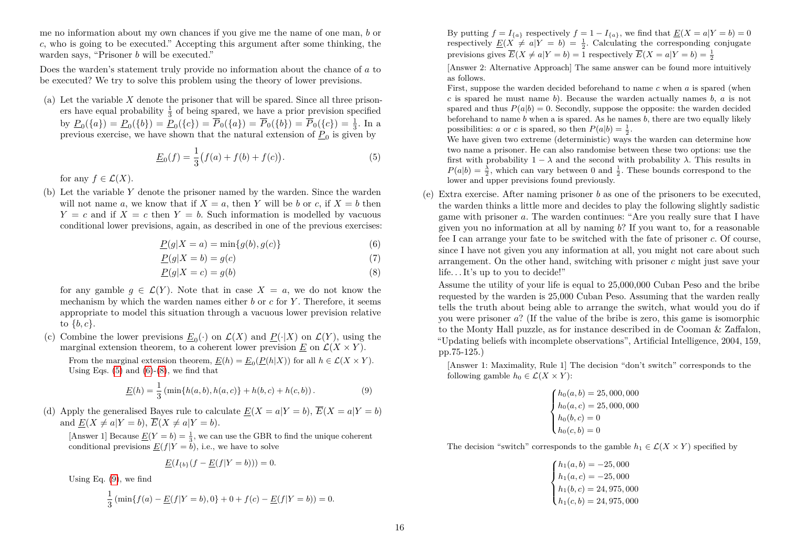me no information about my own chances if you give me the name of one man, *b* or *c*, who is going to be executed." Accepting this argument after some thinking, the warden says, "Prisoner *b* will be executed."

Does the warden's statement truly provide no information about the chance of *a* to be executed? We try to solve this problem using the theory of lower previsions.

(a) Let the variable *X* denote the prisoner that will be spared. Since all three prisoners have equal probability  $\frac{1}{3}$  of being spared, we have a prior prevision specified by  $\underline{P}_0({a}) = \underline{P}_0({b}) = \underline{P}_0({c}) = \overline{P}_0({a}) = \overline{P}_0({b}) = \overline{P}_0({c}) = \frac{1}{3}$ . In a by  $\frac{1}{20}(\sqrt{a_1}) - \frac{1}{20}(\sqrt{b_1}) - \frac{1}{20}(\sqrt{a_1}) - \frac{1}{20}(\sqrt{a_1}) - \frac{1}{20}(\sqrt{b_1}) - \frac{1}{20}(\sqrt{b_1}) - \frac{1}{20}(\sqrt{b_1})$ 

<span id="page-15-0"></span>
$$
\underline{E}_0(f) = \frac{1}{3} \big( f(a) + f(b) + f(c) \big). \tag{5}
$$

for any  $f \in \mathcal{L}(X)$ .

(b) Let the variable *Y* denote the prisoner named by the warden. Since the warden will not name *a*, we know that if  $X = a$ , then *Y* will be *b* or *c*, if  $X = b$  then  $Y = c$  and if  $X = c$  then  $Y = b$ . Such information is modelled by vacuous conditional lower previsions, again, as described in one of the previous exercises:

$$
\underline{P}(g|X=a) = \min\{g(b), g(c)\}\tag{6}
$$

$$
\underline{P}(g|X=b) = g(c) \tag{7}
$$

$$
\underline{P}(g|X=c) = g(b) \tag{8}
$$

for any gamble  $q \in \mathcal{L}(Y)$ . Note that in case  $X = a$ , we do not know the mechanism by which the warden names either *b* or *c* for *Y* . Therefore, it seems appropriate to model this situation through a vacuous lower prevision relative to {*b, c*}.

(c) Combine the lower previsions  $\underline{E}_0(\cdot)$  on  $\mathcal{L}(X)$  and  $\underline{P}(\cdot|X)$  on  $\mathcal{L}(Y)$ , using the marginal extension theorem, to a coherent lower prevision  $E$  on  $\mathcal{L}(X \times Y)$ .

From the marginal extension theorem,  $\underline{E}(h) = \underline{E}_0(\underline{P}(h|X))$  for all  $h \in \mathcal{L}(X \times Y)$ . Using Eqs.  $(5)$  and  $(6)-(8)$  $(6)-(8)$  $(6)-(8)$ , we find that

<span id="page-15-3"></span>
$$
\underline{E}(h) = \frac{1}{3} \left( \min\{h(a, b), h(a, c)\} + h(b, c) + h(c, b) \right). \tag{9}
$$

(d) Apply the generalised Bayes rule to calculate  $E(X = a|Y = b)$ ,  $\overline{E}(X = a|Y = b)$ and  $E(X \neq a|Y = b)$ ,  $\overline{E}(X \neq a|Y = b)$ .

[Answer 1] Because  $\underline{E}(Y=b) = \frac{1}{3}$ , we can use the GBR to find the unique coherent conditional previsions  $E(f|Y = b)$ , i.e., we have to solve

$$
\underline{E}(I_{\{b\}}(f - \underline{E}(f|Y = b))) = 0.
$$

Using Eq. [\(9\)](#page-15-3), we find

$$
\frac{1}{3} \left( \min \{ f(a) - \underline{E}(f|Y=b), 0 \} + 0 + f(c) - \underline{E}(f|Y=b) \right) = 0.
$$

By putting  $f = I_{\{a\}}$  respectively  $f = 1 - I_{\{a\}}$ , we find that  $\underline{E}(X = a | Y = b) = 0$ respectively  $\underline{E}(X \neq a|Y = b) = \frac{1}{2}$ . Calculating the corresponding conjugate previsions gives  $\overline{E}(X \neq a|Y = b) = 1$  respectively  $\overline{E}(X = a|Y = b) = \frac{1}{2}$ 

[Answer 2: Alternative Approach] The same answer can be found more intuitively as follows.

First, suppose the warden decided beforehand to name *c* when *a* is spared (when *c* is spared he must name *b*). Because the warden actually names *b*, *a* is not spared and thus  $P(a|b) = 0$ . Secondly, suppose the opposite: the warden decided beforehand to name *b* when a is spared. As he names *b*, there are two equally likely possibilities: *a* or *c* is spared, so then  $P(a|b) = \frac{1}{2}$ .

We have given two extreme (deterministic) ways the warden can determine how two name a prisoner. He can also randomise between these two options: use the first with probability  $1 - \lambda$  and the second with probability  $\lambda$ . This results in  $P(a|b) = \frac{\lambda}{2}$ , which can vary between 0 and  $\frac{1}{2}$ . These bounds correspond to the lower and upper previsions found previously.

<span id="page-15-1"></span>(e) Extra exercise. After naming prisoner *b* as one of the prisoners to be executed, the warden thinks a little more and decides to play the following slightly sadistic game with prisoner *a*. The warden continues: "Are you really sure that I have given you no information at all by naming *b*? If you want to, for a reasonable fee I can arrange your fate to be switched with the fate of prisoner *c*. Of course, since I have not given you any information at all, you might not care about such arrangement. On the other hand, switching with prisoner *c* might just save your life. . . It's up to you to decide!"

<span id="page-15-2"></span>Assume the utility of your life is equal to 25,000,000 Cuban Peso and the bribe requested by the warden is 25,000 Cuban Peso. Assuming that the warden really tells the truth about being able to arrange the switch, what would you do if you were prisoner *a*? (If the value of the bribe is zero, this game is isomorphic to the Monty Hall puzzle, as for instance described in de Cooman & Zaffalon, "Updating beliefs with incomplete observations", Artificial Intelligence, 2004, 159, pp.75-125.)

[Answer 1: Maximality, Rule 1] The decision "don't switch" corresponds to the following gamble  $h_0 \in \mathcal{L}(X \times Y)$ :

$$
\begin{cases}\nh_0(a, b) = 25,000,000 \\
h_0(a, c) = 25,000,000 \\
h_0(b, c) = 0 \\
h_0(c, b) = 0\n\end{cases}
$$

The decision "switch" corresponds to the gamble  $h_1 \in \mathcal{L}(X \times Y)$  specified by

$$
\begin{cases}\nh_1(a,b) = -25,000 \\
h_1(a,c) = -25,000 \\
h_1(b,c) = 24,975,000 \\
h_1(c,b) = 24,975,000\n\end{cases}
$$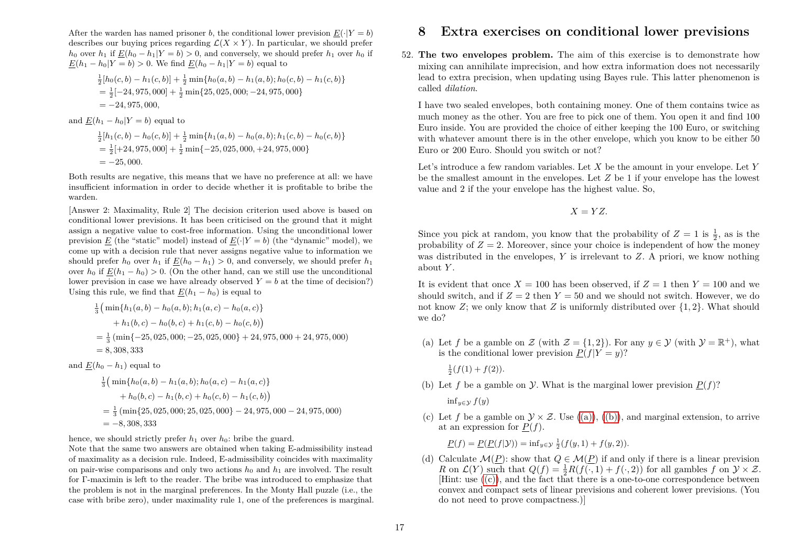After the warden has named prisoner *b*, the conditional lower prevision  $E(\cdot|Y=b)$ describes our buying prices regarding  $\mathcal{L}(X \times Y)$ . In particular, we should prefer *h*<sub>0</sub> over *h*<sub>1</sub> if  $E(h_0 - h_1|Y = b) > 0$ , and conversely, we should prefer *h*<sub>1</sub> over *h*<sub>0</sub> if  $E(h_1 - h_0|Y = b) > 0$ . We find  $E(h_0 - h_1|Y = b)$  equal to

$$
\frac{1}{2}[h_0(c, b) - h_1(c, b)] + \frac{1}{2}\min\{h_0(a, b) - h_1(a, b); h_0(c, b) - h_1(c, b)\}\
$$
  
=  $\frac{1}{2}[-24, 975, 000] + \frac{1}{2}\min\{25, 025, 000; -24, 975, 000\}\$   
=  $-24, 975, 000,$ 

and  $E(h_1 - h_0|Y = b)$  equal to

$$
\frac{1}{2}[h_1(c, b) - h_0(c, b)] + \frac{1}{2}\min\{h_1(a, b) - h_0(a, b); h_1(c, b) - h_0(c, b)\}\
$$
  
=  $\frac{1}{2}[-24, 975, 000] + \frac{1}{2}\min\{-25, 025, 000, +24, 975, 000\}\$   
=  $-25, 000.$ 

Both results are negative, this means that we have no preference at all: we have insufficient information in order to decide whether it is profitable to bribe the warden.

[Answer 2: Maximality, Rule 2] The decision criterion used above is based on conditional lower previsions. It has been criticised on the ground that it might assign a negative value to cost-free information. Using the unconditional lower prevision *E* (the "static" model) instead of  $E(\cdot|Y = b)$  (the "dynamic" model), we come up with a decision rule that never assigns negative value to information we should prefer  $h_0$  over  $h_1$  if  $E(h_0 - h_1) > 0$ , and conversely, we should prefer  $h_1$ over  $h_0$  if  $E(h_1 - h_0) > 0$ . (On the other hand, can we still use the unconditional lower prevision in case we have already observed  $Y = b$  at the time of decision?) Using this rule, we find that  $E(h_1 - h_0)$  is equal to

$$
\frac{1}{3} \Big( \min\{h_1(a,b) - h_0(a,b); h_1(a,c) - h_0(a,c)\}\
$$
  
+ h<sub>1</sub>(b,c) - h<sub>0</sub>(b,c) + h<sub>1</sub>(c,b) - h<sub>0</sub>(c,b)\Big)  
=  $\frac{1}{3}$  (min{-25, 025, 000; -25, 025, 000} + 24,975,000 + 24,975,000)  
= 8,308,333

and  $E(h_0 - h_1)$  equal to

$$
\frac{1}{3} \left( \min\{h_0(a, b) - h_1(a, b); h_0(a, c) - h_1(a, c)\} + h_0(b, c) - h_1(b, c) + h_0(c, b) - h_1(c, b) \right)
$$
\n
$$
= \frac{1}{3} \left( \min\{25, 025, 000; 25, 025, 000\} - 24, 975, 000 - 24, 975, 000 \right)
$$
\n
$$
= -8, 308, 333
$$

hence, we should strictly prefer  $h_1$  over  $h_0$ : bribe the guard.

Note that the same two answers are obtained when taking E-admissibility instead of maximality as a decision rule. Indeed, E-admissibility coincides with maximality on pair-wise comparisons and only two actions  $h_0$  and  $h_1$  are involved. The result for Γ-maximin is left to the reader. The bribe was introduced to emphasize that the problem is not in the marginal preferences. In the Monty Hall puzzle (i.e., the case with bribe zero), under maximality rule 1, one of the preferences is marginal.

### **8 Extra exercises on conditional lower previsions**

52. **The two envelopes problem.** The aim of this exercise is to demonstrate how mixing can annihilate imprecision, and how extra information does not necessarily lead to extra precision, when updating using Bayes rule. This latter phenomenon is called *dilation*.

I have two sealed envelopes, both containing money. One of them contains twice as much money as the other. You are free to pick one of them. You open it and find 100 Euro inside. You are provided the choice of either keeping the 100 Euro, or switching with whatever amount there is in the other envelope, which you know to be either 50 Euro or 200 Euro. Should you switch or not?

Let's introduce a few random variables. Let *X* be the amount in your envelope. Let *Y* be the smallest amount in the envelopes. Let *Z* be 1 if your envelope has the lowest value and 2 if the your envelope has the highest value. So,

$$
X=YZ.
$$

Since you pick at random, you know that the probability of  $Z = 1$  is  $\frac{1}{2}$ , as is the probability of  $Z = 2$ . Moreover, since your choice is independent of how the money was distributed in the envelopes, *Y* is irrelevant to *Z*. A priori, we know nothing about *Y* .

It is evident that once  $X = 100$  has been observed, if  $Z = 1$  then  $Y = 100$  and we should switch, and if  $Z = 2$  then  $Y = 50$  and we should not switch. However, we do not know *Z*; we only know that *Z* is uniformly distributed over {1*,* 2}. What should we do?

<span id="page-16-0"></span>(a) Let *f* be a gamble on  $\mathcal{Z}$  (with  $\mathcal{Z} = \{1, 2\}$ ). For any  $y \in \mathcal{Y}$  (with  $\mathcal{Y} = \mathbb{R}^+$ ), what is the conditional lower prevision  $P(f|Y = y)$ ?

 $\frac{1}{2}(f(1) + f(2)).$ 

<span id="page-16-1"></span>(b) Let *f* be a gamble on *y*. What is the marginal lower prevision  $P(f)$ ?

inf<sub>*y*∈ $\mathcal{Y}$ </sub>  $f(y)$ 

<span id="page-16-2"></span>(c) Let f be a gamble on  $\mathcal{Y} \times \mathcal{Z}$ . Use [\(\(a\)\)](#page-16-0), [\(\(b\)\)](#page-16-1), and marginal extension, to arrive at an expression for  $P(f)$ .

 $\underline{P}(f) = \underline{P}(\underline{P}(f|\mathcal{Y})) = \inf_{y \in \mathcal{Y}} \frac{1}{2}(f(y, 1) + f(y, 2)).$ 

(d) Calculate  $\mathcal{M}(P)$ : show that  $Q \in \mathcal{M}(P)$  if and only if there is a linear prevision *R* on  $\mathcal{L}(Y)$  such that  $Q(f) = \frac{1}{2}R(f(\cdot, 1) + f(\cdot, 2))$  for all gambles  $f$  on  $\mathcal{Y} \times \mathcal{Z}$ .  $[Hint: use  $((c))$ , and the fact that there is a one-to-one correspondence between$  $[Hint: use  $((c))$ , and the fact that there is a one-to-one correspondence between$  $[Hint: use  $((c))$ , and the fact that there is a one-to-one correspondence between$ convex and compact sets of linear previsions and coherent lower previsions. (You do not need to prove compactness.)]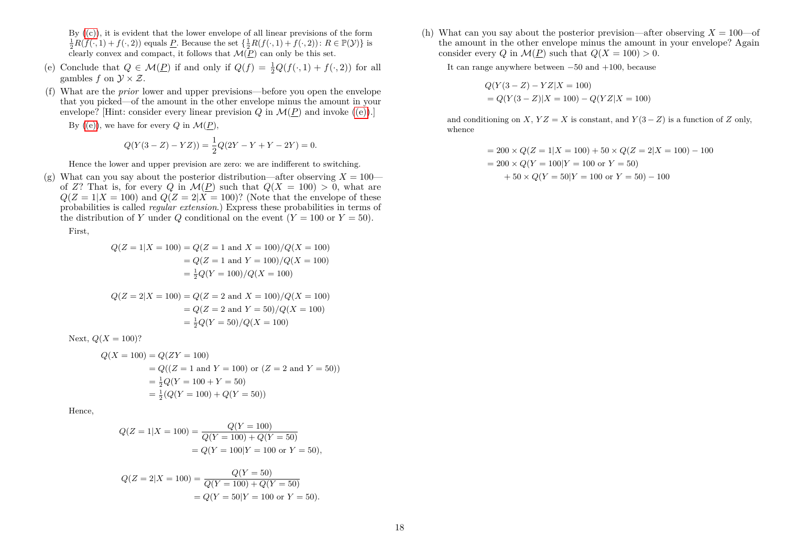By  $(c)$ , it is evident that the lower envelope of all linear previsions of the form  $\frac{1}{2}R(f(\cdot,1) + f(\cdot,2))$  equals *P*. Because the set  $\{\frac{1}{2}R(f(\cdot,1) + f(\cdot,2))\colon R \in \mathbb{P}(\mathcal{Y})\}$  is clearly convex and compact, it follows that  $\mathcal{M}(P)$  can only be this set.

- <span id="page-17-0"></span>(e) Conclude that  $Q \in \mathcal{M}(\underline{P})$  if and only if  $Q(f) = \frac{1}{2}Q(f(\cdot, 1) + f(\cdot, 2))$  for all gambles  $f$  on  $\mathcal{Y} \times \mathcal{Z}$ .
- (f) What are the *prior* lower and upper previsions—before you open the envelope that you picked—of the amount in the other envelope minus the amount in your envelope? [Hint: consider every linear prevision  $Q$  in  $\mathcal{M}(P)$  and invoke  $((e))$ .]

By [\(\(e\)\)](#page-17-0), we have for every  $Q$  in  $\mathcal{M}(\underline{P})$ ,

$$
Q(Y(3 – Z) – YZ)) = \frac{1}{2}Q(2Y – Y + Y – 2Y) = 0.
$$

Hence the lower and upper prevision are zero: we are indifferent to switching.

(g) What can you say about the posterior distribution—after observing  $X = 100$  of *Z*? That is, for every *Q* in  $\mathcal{M}(P)$  such that  $Q(X = 100) > 0$ , what are  $Q(Z=1|X=100)$  and  $Q(Z=2|X=100)$ ? (Note that the envelope of these probabilities is called *regular extension*.) Express these probabilities in terms of the distribution of *Y* under *Q* conditional on the event  $(Y = 100$  or  $Y = 50$ ).

First,

$$
Q(Z = 1|X = 100) = Q(Z = 1 \text{ and } X = 100) / Q(X = 100)
$$

$$
= Q(Z = 1 \text{ and } Y = 100) / Q(X = 100)
$$

$$
= \frac{1}{2}Q(Y = 100) / Q(X = 100)
$$

$$
Q(Z = 2|X = 100) = Q(Z = 2 \text{ and } X = 100) / Q(X = 100)
$$

$$
= Q(Z = 2 \text{ and } Y = 50) / Q(X = 100)
$$

$$
= \frac{1}{2}Q(Y = 50) / Q(X = 100)
$$

Next,  $Q(X = 100)$ ?

$$
Q(X = 100) = Q(ZY = 100)
$$
  
=  $Q((Z = 1 \text{ and } Y = 100) \text{ or } (Z = 2 \text{ and } Y = 50))$   
=  $\frac{1}{2}Q(Y = 100 + Y = 50)$   
=  $\frac{1}{2}(Q(Y = 100) + Q(Y = 50))$ 

Hence,

$$
Q(Z = 1|X = 100) = \frac{Q(Y = 100)}{Q(Y = 100) + Q(Y = 50)}
$$
  
=  $Q(Y = 100|Y = 100 \text{ or } Y = 50),$ 

$$
Q(Z = 2|X = 100) = \frac{Q(Y = 50)}{Q(Y = 100) + Q(Y = 50)}
$$
  
=  $Q(Y = 50|Y = 100 \text{ or } Y = 50).$ 

(h) What can you say about the posterior prevision—after observing  $X = 100$ —of the amount in the other envelope minus the amount in your envelope? Again consider every *Q* in  $\mathcal{M}(P)$  such that  $Q(X = 100) > 0$ .

It can range anywhere between −50 and +100, because

$$
Q(Y(3 - Z) - YZ|X = 100)
$$
  
=  $Q(Y(3 - Z)|X = 100) - Q(YZ|X = 100)$ 

and conditioning on *X*,  $YZ = X$  is constant, and  $Y(3 - Z)$  is a function of *Z* only, whence

$$
= 200 \times Q(Z = 1|X = 100) + 50 \times Q(Z = 2|X = 100) - 100
$$

$$
= 200 \times Q(Y = 100|Y = 100 \text{ or } Y = 50)
$$

$$
+ 50 \times Q(Y = 50|Y = 100 \text{ or } Y = 50) - 100
$$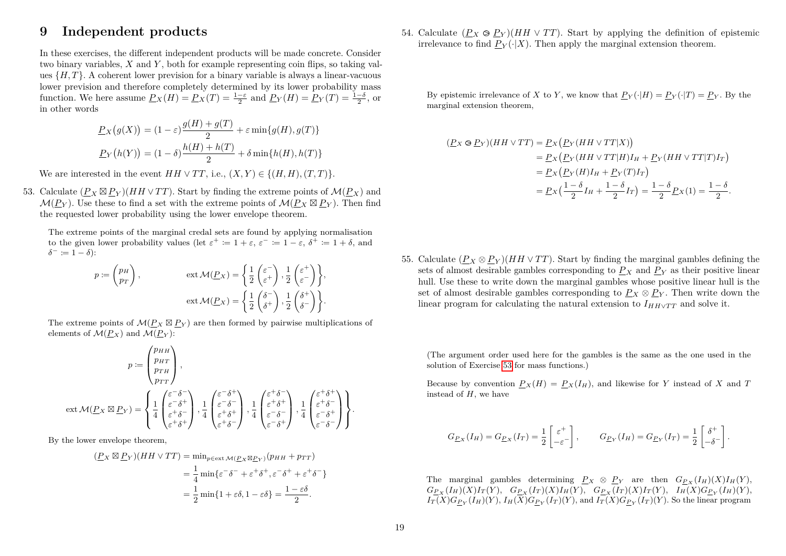### **9 Independent products**

In these exercises, the different independent products will be made concrete. Consider two binary variables, *X* and *Y* , both for example representing coin flips, so taking values  $\{H, T\}$ . A coherent lower prevision for a binary variable is always a linear-vacuous lower prevision and therefore completely determined by its lower probability mass function. We here assume  $\underline{P}_X(H) = \underline{P}_X(T) = \frac{1-\varepsilon}{2}$  and  $\underline{P}_Y(H) = \underline{P}_Y(T) = \frac{1-\delta}{2}$ , or in other words

$$
\underline{P}_X(g(X)) = (1 - \varepsilon) \frac{g(H) + g(T)}{2} + \varepsilon \min\{g(H), g(T)\}
$$

$$
\underline{P}_Y(h(Y)) = (1 - \delta) \frac{h(H) + h(T)}{2} + \delta \min\{h(H), h(T)\}
$$

<span id="page-18-0"></span>We are interested in the event  $HH \vee TT$ , i.e.,  $(X, Y) \in \{(H, H), (T, T)\}.$ 

53. Calculate  $(\underline{P}_X \boxtimes \underline{P}_Y)(HH \vee TT)$ . Start by finding the extreme points of  $\mathcal{M}(\underline{P}_X)$  and  $\mathcal{M}(\underline{P}_Y)$ . Use these to find a set with the extreme points of  $\mathcal{M}(\underline{P}_X \boxtimes \underline{P}_Y)$ . Then find the requested lower probability using the lower envelope theorem.

The extreme points of the marginal credal sets are found by applying normalisation to the given lower probability values (let  $\varepsilon^+ := 1 + \varepsilon$ ,  $\varepsilon^- := 1 - \varepsilon$ ,  $\delta^+ := 1 + \delta$ , and  $\delta^- := 1 - \delta$ :

$$
p := \begin{pmatrix} p_H \\ p_T \end{pmatrix}, \qquad \text{ext } \mathcal{M}(\underline{P}_X) = \left\{ \frac{1}{2} \begin{pmatrix} \varepsilon^- \\ \varepsilon^+ \end{pmatrix}, \frac{1}{2} \begin{pmatrix} \varepsilon^+ \\ \varepsilon^- \end{pmatrix} \right\},
$$

$$
\text{ext } \mathcal{M}(\underline{P}_X) = \left\{ \frac{1}{2} \begin{pmatrix} \delta^- \\ \delta^+ \end{pmatrix}, \frac{1}{2} \begin{pmatrix} \delta^+ \\ \delta^- \end{pmatrix} \right\}.
$$

The extreme points of  $\mathcal{M}(\underline{P}_X \boxtimes \underline{P}_Y)$  are then formed by pairwise multiplications of elements of  $\mathcal{M}(P_X)$  and  $\mathcal{M}(P_Y)$ :

$$
p := \begin{pmatrix} p_{HH} \\ p_{HT} \\ p_{TH} \\ p_{TT} \end{pmatrix},
$$

$$
ext \mathcal{M}(\underline{P}_X \boxtimes \underline{P}_Y) = \begin{cases} \frac{1}{4} \begin{pmatrix} \varepsilon^{-\delta^{-}} \\ \varepsilon^{-\delta^{-}} \\ \varepsilon^{+ \delta^{-}} \end{pmatrix}, \frac{1}{4} \begin{pmatrix} \varepsilon^{-\delta^{+}} \\ \varepsilon^{-\delta^{-}} \\ \varepsilon^{+ \delta^{+}} \end{pmatrix}, \frac{1}{4} \begin{pmatrix} \varepsilon^{+ \delta^{-}} \\ \varepsilon^{+ \delta^{+}} \\ \varepsilon^{- \delta^{-}} \end{pmatrix}, \frac{1}{4} \begin{pmatrix} \varepsilon^{+ \delta^{+}} \\ \varepsilon^{+ \delta^{-}} \\ \varepsilon^{- \delta^{-}} \end{pmatrix}, \frac{1}{4} \begin{pmatrix} \varepsilon^{+ \delta^{+}} \\ \varepsilon^{+ \delta^{-}} \\ \varepsilon^{- \delta^{-}} \end{pmatrix} \end{cases}.
$$

By the lower envelope theorem,

$$
(P_X \boxtimes P_Y)(HH \vee TT) = \min_{p \in ext \mathcal{M}(P_X \boxtimes P_Y)} (p_{HH} + p_{TT})
$$
  
=  $\frac{1}{4} \min \{ \varepsilon^{-} \delta^{-} + \varepsilon^{+} \delta^{+}, \varepsilon^{-} \delta^{+} + \varepsilon^{+} \delta^{-} \}$   
=  $\frac{1}{2} \min \{ 1 + \varepsilon \delta, 1 - \varepsilon \delta \} = \frac{1 - \varepsilon \delta}{2}.$ 

<span id="page-18-1"></span>54. Calculate  $(P_X \otimes P_Y)(HH \vee TT)$ . Start by applying the definition of epistemic irrelevance to find  $P_V(\cdot|X)$ . Then apply the marginal extension theorem.

By epistemic irrelevance of *X* to *Y*, we know that  $P_Y(\cdot|H) = P_Y(\cdot|T) = P_Y$ . By the marginal extension theorem,

$$
\begin{aligned} (\underline{P}X \otimes \underline{P}Y)(HH \vee TT) &= \underline{P}X(\underline{P}Y(HH \vee TT|X)) \\ &= \underline{P}X(\underline{P}Y(HH \vee TT|H)I_H + \underline{P}Y(HH \vee TT|T)I_T) \\ &= \underline{P}X(\underline{P}Y(H)I_H + \underline{P}Y(T)I_T) \\ &= \underline{P}X(\frac{1-\delta}{2}I_H + \frac{1-\delta}{2}I_T) = \frac{1-\delta}{2}\underline{P}X(1) = \frac{1-\delta}{2}. \end{aligned}
$$

55. Calculate  $(P_X \otimes P_Y)(HH \vee TT)$ . Start by finding the marginal gambles defining the sets of almost desirable gambles corresponding to  $P_X$  and  $P_Y$  as their positive linear hull. Use these to write down the marginal gambles whose positive linear hull is the set of almost desirable gambles corresponding to  $P_X \otimes P_Y$ . Then write down the linear program for calculating the natural extension to  $I_{HH\vee TT}$  and solve it.

(The argument order used here for the gambles is the same as the one used in the solution of Exercise [53](#page-18-0) for mass functions.)

Because by convention  $P_X(H) = P_X(I_H)$ , and likewise for *Y* instead of *X* and *T* instead of *H*, we have

$$
G_{\underline{P}_X}(I_H) = G_{\underline{P}_X}(I_T) = \frac{1}{2} \begin{bmatrix} \varepsilon^+ \\ -\varepsilon^- \end{bmatrix}, \qquad G_{\underline{P}_Y}(I_H) = G_{\underline{P}_Y}(I_T) = \frac{1}{2} \begin{bmatrix} \delta^+ \\ -\delta^- \end{bmatrix}
$$

*.*

The marginal gambles determining  $P_X \otimes P_Y$  are then  $G_{P_X}(I_H)(X)I_H(Y)$ ,  $G_{\underline{P}_X}(I_H)(X)I_T(Y), G_{\underline{P}_X}(I_T)(X)I_H(Y), G_{\underline{P}_X}(I_T)(X)I_T(Y), I_H(X)G_{\underline{P}_Y}(I_H)(Y),$  $I_T(X)G_{\underline{P}_Y}(I_H)(Y), I_H(X)G_{\underline{P}_Y}(I_T)(Y)$ , and  $I_T(X)G_{\underline{P}_Y}(I_T)(Y)$ . So the linear program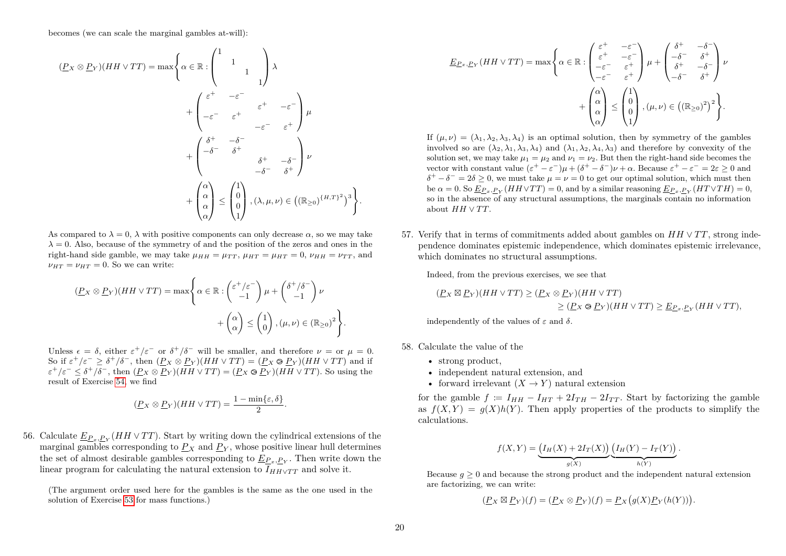becomes (we can scale the marginal gambles at-will):

$$
(P_X \otimes P_Y)(HH \vee TT) = \max \left\{ \alpha \in \mathbb{R} : \begin{pmatrix} 1 & & & \\ & 1 & & \\ & & 1 & \\ & & & 1 \end{pmatrix} \lambda \right\}
$$

$$
+ \begin{pmatrix} \varepsilon^+ & -\varepsilon^- & \\ -\varepsilon^- & \varepsilon^+ & \\ -\varepsilon^- & \varepsilon^+ & \\ & & -\varepsilon^- & \varepsilon^+ \end{pmatrix} \mu
$$

$$
+ \begin{pmatrix} \delta^+ & -\delta^- & \\ -\delta^- & \delta^+ & \\ & & \delta^+ & -\delta^- \\ -\delta^- & \delta^+ \end{pmatrix} \nu
$$

$$
+ \begin{pmatrix} \alpha \\ \alpha \\ \alpha \end{pmatrix} \leq \begin{pmatrix} 1 \\ 0 \\ 1 \end{pmatrix}, (\lambda, \mu, \nu) \in ((\mathbb{R}_{\geq 0})^{\{H, T\}})^3 \right\}.
$$

As compared to  $\lambda = 0$ ,  $\lambda$  with positive components can only decrease  $\alpha$ , so we may take  $\lambda = 0$ . Also, because of the symmetry of and the position of the zeros and ones in the right-hand side gamble, we may take  $\mu_{HH} = \mu_{TT}$ ,  $\mu_{HT} = \mu_{HT} = 0$ ,  $\nu_{HH} = \nu_{TT}$ , and  $\nu_{HT} = \nu_{HT} = 0$ . So we can write:

$$
\begin{aligned} (\underline{P} \times \otimes \underline{P} \times)(HH \vee TT) &= \max \Bigg\{ \alpha \in \mathbb{R} : \begin{pmatrix} \varepsilon^+/\varepsilon^- \\ -1 \end{pmatrix} \mu + \begin{pmatrix} \delta^+/\delta^- \\ -1 \end{pmatrix} \nu \\ &+ \begin{pmatrix} \alpha \\ \alpha \end{pmatrix} \leq \begin{pmatrix} 1 \\ 0 \end{pmatrix}, (\mu, \nu) \in (\mathbb{R}_{\geq 0})^2 \Bigg\}. \end{aligned}
$$

Unless  $\epsilon = \delta$ , either  $\epsilon^+/\epsilon^-$  or  $\delta^+/\delta^-$  will be smaller, and therefore  $\nu = \text{or } \mu = 0$ . So if  $\varepsilon^+/\varepsilon^- \geq \delta^+/\delta^-$ , then  $(P_X \otimes P_Y)(HH \vee TT) = (P_X \otimes P_Y)(HH \vee TT)$  and if  $\varepsilon^+/\varepsilon^- \leq \delta^+/\delta^-$ , then  $(P_X \otimes P_Y)(HH \vee TT) = (P_X \otimes P_Y)(HH \vee TT)$ . So using the result of Exercise [54,](#page-18-1) we find

$$
(\underline{P}_X \otimes \underline{P}_Y)(HH \vee TT) = \frac{1 - \min\{\varepsilon, \delta\}}{2}.
$$

56. Calculate  $\underline{E}_{P_x, P_Y}(HH \vee TT)$ . Start by writing down the cylindrical extensions of the marginal gambles corresponding to  $P_X$  and  $P_Y$ , whose positive linear hull determines the set of almost desirable gambles corresponding to  $\underline{E}_{P_x, P_Y}$ . Then write down the linear program for calculating the natural extension to  $\overline{I_{HHVTT}}$  and solve it.

(The argument order used here for the gambles is the same as the one used in the solution of Exercise [53](#page-18-0) for mass functions.)

$$
\underline{E_{P_x,P_Y}}(HH \vee TT) = \max \left\{ \alpha \in \mathbb{R} : \begin{pmatrix} \varepsilon^+ & -\varepsilon^- \\ \varepsilon^+ & -\varepsilon^- \\ -\varepsilon^- & \varepsilon^+ \end{pmatrix} \mu + \begin{pmatrix} \delta^+ & -\delta^- \\ -\delta^- & \delta^+ \\ \delta^+ & -\delta^- \\ -\delta^- & \delta^+ \end{pmatrix} \nu + \begin{pmatrix} \alpha \\ \alpha \\ \alpha \end{pmatrix} \leq \begin{pmatrix} 1 \\ 0 \\ 1 \end{pmatrix}, (\mu, \nu) \in \left( (\mathbb{R}_{\geq 0})^2 \right)^2 \right\}.
$$

If  $(\mu, \nu) = (\lambda_1, \lambda_2, \lambda_3, \lambda_4)$  is an optimal solution, then by symmetry of the gambles involved so are  $(\lambda_2, \lambda_1, \lambda_3, \lambda_4)$  and  $(\lambda_1, \lambda_2, \lambda_4, \lambda_3)$  and therefore by convexity of the solution set, we may take  $u_1 = u_2$  and  $v_1 = v_2$ . But then the right-hand side becomes the vector with constant value  $(\varepsilon^+ - \varepsilon^-)\mu + (\delta^+ - \delta^-)\nu + \alpha$ . Because  $\varepsilon^+ - \varepsilon^- = 2\varepsilon \ge 0$  and  $\delta^+ - \delta^- = 2\delta \geq 0$ , we must take  $\mu = \nu = 0$  to get our optimal solution, which must then  $\Phi \alpha = 0$ . So  $\underline{E}_{P_x, P_Y}(HH \vee TT) = 0$ , and by a similar reasoning  $\underline{E}_{P_x, P_Y}(HT \vee TH) = 0$ , so in the absence of any structural assumptions, the marginals contain no information about  $HH \vee TT$ .

57. Verify that in terms of commitments added about gambles on *HH* ∨ *T T*, strong independence dominates epistemic independence, which dominates epistemic irrelevance, which dominates no structural assumptions.

Indeed, from the previous exercises, we see that

$$
\begin{aligned} \n(\underline{P}_X \boxtimes \underline{P}_Y)(HH \vee TT) &\geq (\underline{P}_X \otimes \underline{P}_Y)(HH \vee TT) \\ \n&\geq (\underline{P}_X \otimes \underline{P}_Y)(HH \vee TT) \geq \underline{E}_{\underline{P}_x, \underline{P}_Y}(HH \vee TT), \n\end{aligned}
$$

independently of the values of *ε* and *δ*.

58. Calculate the value of the

- strong product,
- independent natural extension, and
- forward irrelevant  $(X \to Y)$  natural extension

for the gamble  $f := I_{HH} - I_{HT} + 2I_{TH} - 2I_{TT}$ . Start by factorizing the gamble as  $f(X, Y) = g(X)h(Y)$ . Then apply properties of the products to simplify the calculations.

$$
f(X,Y) = \underbrace{\left(I_H(X) + 2I_T(X)\right)}_{g(X)} \underbrace{\left(I_H(Y) - I_T(Y)\right)}_{h(Y)}.
$$

Because  $q \geq 0$  and because the strong product and the independent natural extension are factorizing, we can write:

$$
(\underline{P}_X \boxtimes \underline{P}_Y)(f) = (\underline{P}_X \otimes \underline{P}_Y)(f) = \underline{P}_X(g(X)\underline{P}_Y(h(Y))).
$$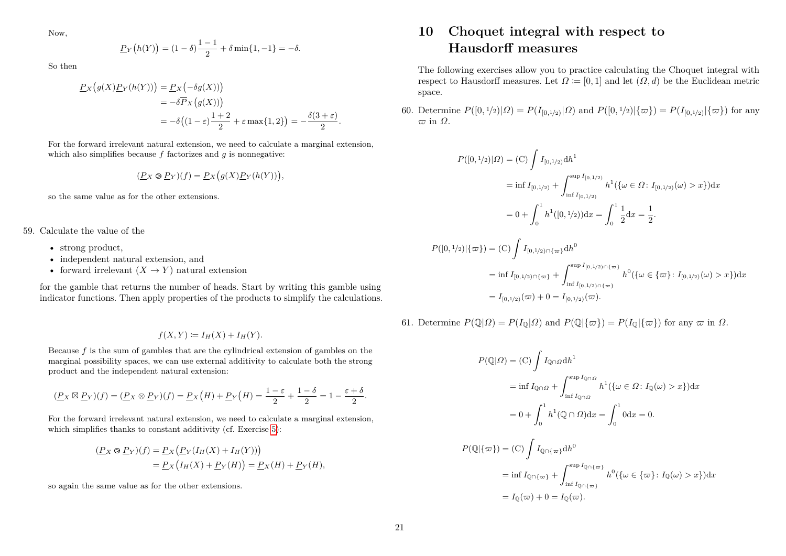$$
\underline{P}_Y(h(Y)) = (1 - \delta)\frac{1 - 1}{2} + \delta \min\{1, -1\} = -\delta.
$$

So then

$$
\underline{P}_X(g(X)\underline{P}_Y(h(Y))) = \underline{P}_X(-\delta g(X)))
$$
  
=  $-\delta \overline{P}_X(g(X)))$   
=  $-\delta((1-\varepsilon)\frac{1+2}{2} + \varepsilon \max\{1,2\}) = -\frac{\delta(3+\varepsilon)}{2}.$ 

For the forward irrelevant natural extension, we need to calculate a marginal extension, which also simplifies because *f* factorizes and *g* is nonnegative:

$$
(\underline{P}_X \otimes \underline{P}_Y)(f) = \underline{P}_X(g(X)\underline{P}_Y(h(Y))),
$$

so the same value as for the other extensions.

59. Calculate the value of the

- strong product.
- independent natural extension, and
- forward irrelevant  $(X \to Y)$  natural extension

for the gamble that returns the number of heads. Start by writing this gamble using indicator functions. Then apply properties of the products to simplify the calculations.

$$
f(X,Y) \coloneqq I_H(X) + I_H(Y).
$$

Because *f* is the sum of gambles that are the cylindrical extension of gambles on the marginal possibility spaces, we can use external additivity to calculate both the strong product and the independent natural extension:

$$
(\underline{P}X \boxtimes \underline{P}Y)(f) = (\underline{P}X \otimes \underline{P}Y)(f) = \underline{P}X(H) + \underline{P}Y(H) = \frac{1-\varepsilon}{2} + \frac{1-\delta}{2} = 1 - \frac{\varepsilon+\delta}{2}.
$$

For the forward irrelevant natural extension, we need to calculate a marginal extension, which simplifies thanks to constant additivity (cf. Exercise [5\)](#page-0-10):

$$
\begin{aligned} \left(\underline{P}_X \otimes \underline{P}_Y\right)(f) &= \underline{P}_X \left(\underline{P}_Y(I_H(X) + I_H(Y))\right) \\ &= \underline{P}_X\left(I_H(X) + \underline{P}_Y(H)\right) = \underline{P}_X(H) + \underline{P}_Y(H), \end{aligned}
$$

so again the same value as for the other extensions.

## **10 Choquet integral with respect to Hausdorff measures**

The following exercises allow you to practice calculating the Choquet integral with respect to Hausdorff measures. Let  $\Omega := [0,1]$  and let  $(\Omega, d)$  be the Euclidean metric space.

<span id="page-20-0"></span>60. Determine  $P([0, 1/2)|\Omega) = P(I_{[0,1/2)}|\Omega)$  and  $P([0, 1/2)|\{\varpi\}) = P(I_{[0,1/2)}|\{\varpi\})$  for any  $\varpi$  in  $Ω$ .

$$
P([0, 1/2)|\Omega) = \text{(C)} \int I_{[0, 1/2)} \, dh^1
$$
\n
$$
= \inf I_{[0, 1/2)} + \int_{\inf I_{[0, 1/2)}}^{\sup I_{[0, 1/2)}} h^1(\{\omega \in \Omega : I_{[0, 1/2)}(\omega) > x\}) dx
$$
\n
$$
= 0 + \int_0^1 h^1([0, 1/2)) dx = \int_0^1 \frac{1}{2} dx = \frac{1}{2}.
$$

$$
P([0,1/2)|\{\varpi\}) = (C) \int I_{[0,1/2)\cap\{\varpi\}} dh^0
$$
  
= inf  $I_{[0,1/2)\cap\{\varpi\}} + \int_{\inf I_{[0,1/2)\cap\{\varpi\}}}^{\sup I_{[0,1/2)\cap\{\varpi\}}} h^0(\{\omega \in \{\varpi\} : I_{[0,1/2)}(\omega) > x\}) dx$   
=  $I_{[0,1/2)}(\varpi) + 0 = I_{[0,1/2)}(\varpi).$ 

<span id="page-20-1"></span>61. Determine  $P(\mathbb{Q}|\Omega) = P(I_0|\Omega)$  and  $P(\mathbb{Q}|\{\varpi\}) = P(I_0|\{\varpi\})$  for any  $\varpi$  in  $\Omega$ .

$$
P(\mathbb{Q}|\Omega) = (\mathcal{C}) \int I_{\mathbb{Q}\cap\Omega} dh^1
$$
  
\n
$$
= \inf I_{\mathbb{Q}\cap\Omega} + \int_{\inf I_{\mathbb{Q}\cap\Omega}}^{\sup I_{\mathbb{Q}\cap\Omega}} h^1(\{\omega \in \Omega : I_{\mathbb{Q}}(\omega) > x\}) dx
$$
  
\n
$$
= 0 + \int_0^1 h^1(\mathbb{Q}\cap\Omega) dx = \int_0^1 0 dx = 0.
$$
  
\n
$$
P(\mathbb{Q}|\{\varpi\}) = (\mathcal{C}) \int I_{\mathbb{Q}\cap\{\varpi\}} dh^0
$$
  
\n
$$
= \inf I_{\mathbb{Q}\cap\{\varpi\}} + \int_{\inf I_{\mathbb{Q}\cap\{\varpi\}}^{\sup I_{\mathbb{Q}\cap\{\varpi\}}} h^0(\{\omega \in \{\varpi\} : I_{\mathbb{Q}}(\omega) > x\}) dx
$$
  
\n
$$
= I_0(\varpi) + 0 = I_0(\varpi).
$$